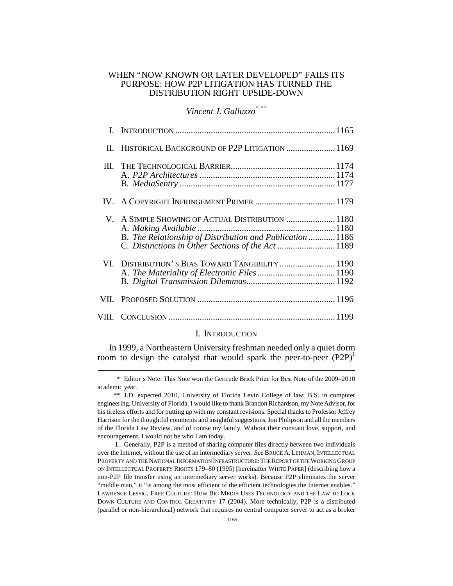# WHEN "NOW KNOWN OR LATER DEVELOPED" FAILS ITS PURPOSE: HOW P2P LITIGATION HAS TURNED THE DISTRIBUTION RIGHT UPSIDE-DOWN

# *Vincent J. Galluzzo\** \*\*

| П.   | HISTORICAL BACKGROUND OF P2P LITIGATION  1169                                                                                                                     |  |
|------|-------------------------------------------------------------------------------------------------------------------------------------------------------------------|--|
| III. |                                                                                                                                                                   |  |
|      |                                                                                                                                                                   |  |
|      | V. A SIMPLE SHOWING OF ACTUAL DISTRIBUTION  1180<br>B. The Relationship of Distribution and Publication 1186<br>C. Distinctions in Other Sections of the Act 1189 |  |
|      | VI. DISTRIBUTION'S BIAS TOWARD TANGIBILITY  1190                                                                                                                  |  |
| VII. |                                                                                                                                                                   |  |
|      |                                                                                                                                                                   |  |

# I. INTRODUCTION

In 1999, a Northeastern University freshman needed only a quiet dorm room to design the catalyst that would spark the peer-to-peer  $(P2P)^{1}$ 

 \* Editor's Note: This Note won the Gertrude Brick Prize for Best Note of the 2009–2010 academic year.

 <sup>\*\*</sup> J.D. expected 2010, University of Florida Levin College of law; B.S. in computer engineering, University of Florida. I would like to thank Brandon Richardson, my Note Advisor, for his tireless efforts and for putting up with my constant revisions. Special thanks to Professor Jeffrey Harrison for the thoughtful comments and insightful suggestions, Jon Philipson and all the members of the Florida Law Review, and of course my family. Without their constant love, support, and encouragement, I would not be who I am today.

 <sup>1.</sup> Generally, P2P is a method of sharing computer files directly between two individuals over the Internet, without the use of an intermediary server. See BRUCE A. LEHMAN, INTELLECTUAL PROPERTY AND THE NATIONAL INFORMATION INFRASTRUCTURE:THE REPORT OF THE WORKING GROUP ON INTELLECTUAL PROPERTY RIGHTS 179–80 (1995) [hereinafter WHITE PAPER] (describing how a non-P2P file transfer using an intermediary server works). Because P2P eliminates the server "middle man," it "is among the most efficient of the efficient technologies the Internet enables." LAWRENCE LESSIG, FREE CULTURE: HOW BIG MEDIA USES TECHNOLOGY AND THE LAW TO LOCK DOWN CULTURE AND CONTROL CREATIVITY 17 (2004). More technically, P2P is a distributed (parallel or non-hierarchical) network that requires no central computer server to act as a broker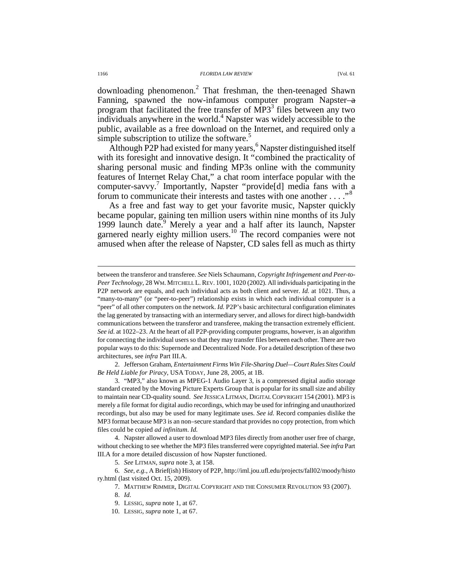downloading phenomenon.<sup>2</sup> That freshman, the then-teenaged Shawn Fanning, spawned the now-infamous computer program Napster—a program that facilitated the free transfer of  $MP3<sup>3</sup>$  files between any two  $\frac{1}{2}$  individuals anywhere in the world.<sup>4</sup> Napster was widely accessible to the public, available as a free download on the Internet, and required only a simple subscription to utilize the software.<sup>5</sup>

Although P2P had existed for many years,<sup>6</sup> Napster distinguished itself with its foresight and innovative design. It "combined the practicality of sharing personal music and finding MP3s online with the community features of Internet Relay Chat," a chat room interface popular with the computer-savvy.<sup>7</sup> Importantly, Napster "provide[d] media fans with a forum to communicate their interests and tastes with one another  $\dots$ ."<sup>8</sup>

As a free and fast way to get your favorite music, Napster quickly became popular, gaining ten million users within nine months of its July 1999 launch date.<sup>9</sup> Merely a year and a half after its launch, Napster garnered nearly eighty million users.<sup>10</sup> The record companies were not amused when after the release of Napster, CD sales fell as much as thirty

 2. Jefferson Graham, *Entertainment Firms Win File-Sharing Duel—Court Rules Sites Could Be Held Liable for Piracy*, USA TODAY, June 28, 2005, at 1B.

 3. "MP3," also known as MPEG-1 Audio Layer 3, is a compressed digital audio storage standard created by the Moving Picture Experts Group that is popular for its small size and ability to maintain near CD-quality sound. *See* JESSICA LITMAN, DIGITAL COPYRIGHT 154 (2001). MP3 is merely a file format for digital audio recordings, which may be used for infringing and unauthorized recordings, but also may be used for many legitimate uses. *See id.* Record companies dislike the MP3 format because MP3 is an non–secure standard that provides no copy protection, from which files could be copied *ad infinitum*. *Id.*

 4. Napster allowed a user to download MP3 files directly from another user free of charge, without checking to see whether the MP3 files transferred were copyrighted material. See *infra* Part III.A for a more detailed discussion of how Napster functioned.

 6. *See, e.g.*, A Brief(ish) History of P2P, http://iml.jou.ufl.edu/projects/fall02/moody/histo ry.html (last visited Oct. 15, 2009).

7. MATTHEW RIMMER, DIGITAL COPYRIGHT AND THE CONSUMER REVOLUTION 93 (2007).

between the transferor and transferee. *See* Niels Schaumann, *Copyright Infringement and Peer-to-Peer Technology*, 28 WM. MITCHELL L.REV. 1001, 1020 (2002). All individuals participating in the P2P network are equals, and each individual acts as both client and server. *Id.* at 1021. Thus, a "many-to-many" (or "peer-to-peer") relationship exists in which each individual computer is a "peer" of all other computers on the network. *Id.* P2P's basic architectural configuration eliminates the lag generated by transacting with an intermediary server, and allows for direct high-bandwidth communications between the transferor and transferee, making the transaction extremely efficient. *See id.* at 1022–23. At the heart of all P2P-providing computer programs, however, is an algorithm for connecting the individual users so that they may transfer files between each other. There are two popular ways to do this: Supernode and Decentralized Node. For a detailed description of these two architectures, see *infra* Part III.A.

 <sup>5.</sup> *See* LITMAN, *supra* note 3, at 158.

 <sup>8.</sup> *Id.*

 <sup>9.</sup> LESSIG, *supra* note 1, at 67.

 <sup>10.</sup> LESSIG, *supra* note 1, at 67.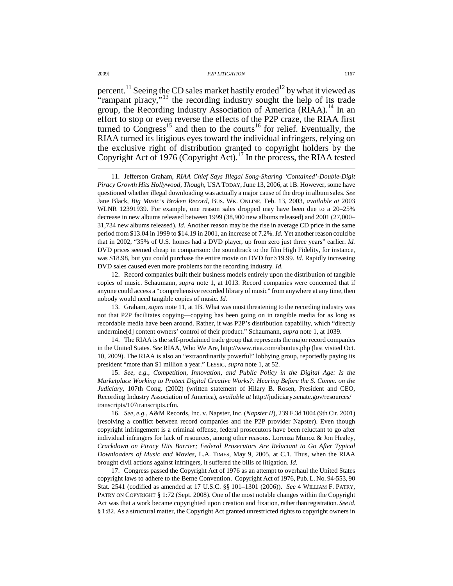percent.<sup>11</sup> Seeing the CD sales market hastily eroded<sup>12</sup> by what it viewed as "rampant piracy,"<sup>13</sup> the recording industry sought the help of its trade group, the Recording Industry Association of America (RIAA).<sup>14</sup> In an effort to stop or even reverse the effects of the P2P craze, the RIAA first turned to  $\text{Congress}^{15}$  and then to the courts<sup>16</sup> for relief. Eventually, the RIAA turned its litigious eyes toward the individual infringers, relying on the exclusive right of distribution granted to copyright holders by the Copyright Act of 1976 (Copyright Act).<sup>17</sup> In the process, the RIAA tested

 12. Record companies built their business models entirely upon the distribution of tangible copies of music. Schaumann, *supra* note 1, at 1013. Record companies were concerned that if anyone could access a "comprehensive recorded library of music" from anywhere at any time, then nobody would need tangible copies of music. *Id.*

 13. Graham, *supra* note 11, at 1B. What was most threatening to the recording industry was not that P2P facilitates copying—copying has been going on in tangible media for as long as recordable media have been around. Rather, it was P2P's distribution capability, which "directly undermine[d] content owners' control of their product." Schaumann, *supra* note 1, at 1039.

 14. The RIAA is the self-proclaimed trade group that represents the major record companies in the United States. *See* RIAA, Who We Are, http://www.riaa.com/aboutus.php (last visited Oct. 10, 2009). The RIAA is also an "extraordinarily powerful" lobbying group, reportedly paying its president "more than \$1 million a year." LESSIG, *supra* note 1, at 52.

 15. *See, e.g.*, *Competition, Innovation, and Public Policy in the Digital Age: Is the Marketplace Working to Protect Digital Creative Works?: Hearing Before the S. Comm. on the Judiciary*, 107th Cong. (2002) (written statement of Hilary B. Rosen, President and CEO, Recording Industry Association of America), *available at* http://judiciary.senate.gov/resources/ transcripts/107transcripts.cfm.

 16. *See, e.g.*, A&M Records, Inc. v. Napster, Inc. (*Napster II*), 239 F.3d 1004 (9th Cir. 2001) (resolving a conflict between record companies and the P2P provider Napster). Even though copyright infringement is a criminal offense, federal prosecutors have been reluctant to go after individual infringers for lack of resources, among other reasons. Lorenza Munoz & Jon Healey, *Crackdown on Piracy Hits Barrier; Federal Prosecutors Are Reluctant to Go After Typical Downloaders of Music and Movies*, L.A. TIMES, May 9, 2005, at C.1. Thus, when the RIAA brought civil actions against infringers, it suffered the bills of litigation. *Id.*

 17. Congress passed the Copyright Act of 1976 as an attempt to overhaul the United States copyright laws to adhere to the Berne Convention . Copyright Act of 1976, Pub. L. No. 94-553, 90 Stat. 2541 (codified as amended at 17 U.S.C. §§ 101–1301 (2006)). *See* 4 WILLIAM F. PATRY, PATRY ON COPYRIGHT § 1:72 (Sept. 2008). One of the most notable changes within the Copyright Act was that a work became copyrighted upon creation and fixation, rather than registration. See id. § 1:82. As a structural matter, the Copyright Act granted unrestricted rights to copyright owners in

 <sup>11.</sup> Jefferson Graham, *RIAA Chief Says Illegal Song-Sharing 'Contained'-Double-Digit Piracy Growth Hits Hollywood, Though*, USA TODAY, June 13, 2006, at 1B. However, some have questioned whether illegal downloading was actually a major cause of the drop in album sales. *See* Jane Black, *Big Music's Broken Record*, BUS. WK. ONLINE, Feb. 13, 2003, *available at* 2003 WLNR 12391939. For example, one reason sales dropped may have been due to a 20–25% decrease in new albums released between 1999 (38,900 new albums released) and 2001 (27,000– 31,734 new albums released). *Id.* Another reason may be the rise in average CD price in the same period from \$13.04 in 1999 to \$14.19 in 2001, an increase of 7.2%. *Id.* Yet another reason could be that in 2002, "35% of U.S. homes had a DVD player, up from zero just three years" earlier. *Id.* DVD prices seemed cheap in comparison: the soundtrack to the film High Fidelity, for instance, was \$18.98, but you could purchase the entire movie on DVD for \$19.99. *Id.* Rapidly increasing DVD sales caused even more problems for the recording industry. *Id.*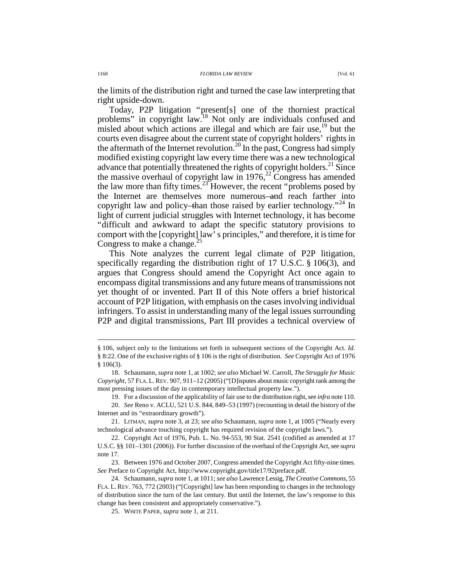the limits of the distribution right and turned the case law interpreting that right upside-down.

Today, P2P litigation "present[s] one of the thorniest practical problems" in copyright law.<sup>18</sup> Not only are individuals confused and misled about which actions are illegal and which are fair use, $^{19}$  but the courts even disagree about the current state of copyright holders' rights in the aftermath of the Internet revolution.<sup>20</sup> In the past, Congress had simply modified existing copyright law every time there was a new technological advance that potentially threatened the rights of copyright holders.<sup>21</sup> Since the massive overhaul of copyright law in  $1976$ ,<sup>22</sup> Congress has amended the law more than fifty times.<sup>23</sup> However, the recent "problems posed by the Internet are themselves more numerous—and reach farther into copyright law and policy—than those raised by earlier technology."<sup>24</sup> In light of current judicial struggles with Internet technology, it has become "difficult and awkward to adapt the specific statutory provisions to comport with the [copyright] law' s principles," and therefore, it is time for Congress to make a change. $^{2}$ 

This Note analyzes the current legal climate of P2P litigation, specifically regarding the distribution right of 17 U.S.C. § 106(3), and argues that Congress should amend the Copyright Act once again to encompass digital transmissions and any future means of transmissions not yet thought of or invented. Part II of this Note offers a brief historical account of P2P litigation, with emphasis on the cases involving individual infringers. To assist in understanding many of the legal issues surrounding P2P and digital transmissions, Part III provides a technical overview of

<sup>§ 106,</sup> subject only to the limitations set forth in subsequent sections of the Copyright Act. *Id.* § 8:22. One of the exclusive rights of § 106 is the right of distribution. *See* Copyright Act of 1976 § 106(3).

 <sup>18.</sup> Schaumann, *supra* note 1, at 1002; *see also* Michael W. Carroll, *The Struggle for Music Copyright*, 57 FLA. L.REV. 907, 911–12 (2005) ("[D]isputes about music copyright rank among the most pressing issues of the day in contemporary intellectual property law.").

 <sup>19.</sup> For a discussion of the applicability of fair use to the distribution right, see *infra* note 110. 20. *See* Reno v. ACLU, 521 U.S. 844, 849–53 (1997) (recounting in detail the history of the

Internet and its "extraordinary growth").

 <sup>21.</sup> LITMAN, *supra* note 3, at 23; *see also* Schaumann, *supra* note 1, at 1005 ("Nearly every technological advance touching copyright has required revision of the copyright laws.").

 <sup>22.</sup> Copyright Act of 1976, Pub. L. No. 94-553, 90 Stat. 2541 (codified as amended at 17 U.S.C. §§ 101–1301 (2006)). For further discussion of the overhaul of the Copyright Act, see *supra* note 17.

 <sup>23.</sup> Between 1976 and October 2007, Congress amended the Copyright Act fifty-nine times. *See* Preface to Copyright Act, http://www.copyright.gov/title17/92preface.pdf.

 <sup>24.</sup> Schaumann, *supra* note 1, at 1011; *see also* Lawrence Lessig, *The Creative Commons*, 55 FLA. L. REV. 763, 772 (2003) ("[Copyright] law has been responding to changes in the technology of distribution since the turn of the last century. But until the Internet, the law's response to this change has been consistent and appropriately conservative.").

 <sup>25.</sup> WHITE PAPER, *supra* note 1, at 211.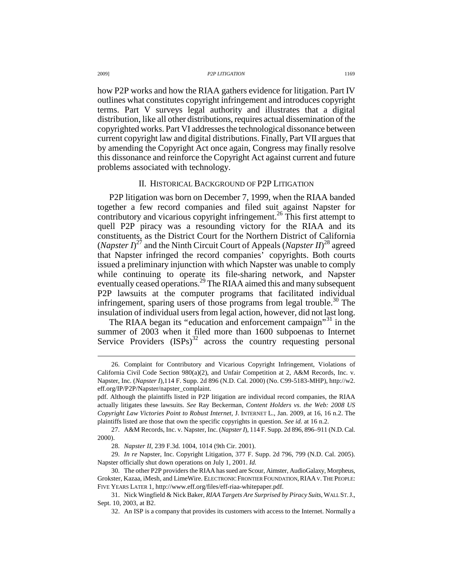how P2P works and how the RIAA gathers evidence for litigation. Part IV outlines what constitutes copyright infringement and introduces copyright terms. Part V surveys legal authority and illustrates that a digital distribution, like all other distributions, requires actual dissemination of the copyrighted works. Part VI addresses the technological dissonance between current copyright law and digital distributions. Finally, Part VII argues that by amending the Copyright Act once again, Congress may finally resolve this dissonance and reinforce the Copyright Act against current and future problems associated with technology.

# II. HISTORICAL BACKGROUND OF P2P LITIGATION

P2P litigation was born on December 7, 1999, when the RIAA banded together a few record companies and filed suit against Napster for contributory and vicarious copyright infringement.<sup>26</sup> This first attempt to quell P2P piracy was a resounding victory for the RIAA and its constituents, as the District Court for the Northern District of California (*Napster I*)<sup>27</sup> and the Ninth Circuit Court of Appeals (*Napster II*)<sup>28</sup> agreed that Napster infringed the record companies' copyrights. Both courts issued a preliminary injunction with which Napster was unable to comply while continuing to operate its file-sharing network, and Napster eventually ceased operations.<sup>29</sup> The RIAA aimed this and many subsequent P2P lawsuits at the computer programs that facilitated individual infringement, sparing users of those programs from legal trouble.<sup>30</sup> The insulation of individual users from legal action, however, did not last long.

The RIAA began its "education and enforcement campaign"<sup>31</sup> in the summer of 2003 when it filed more than 1600 subpoenas to Internet Service Providers  $(ISPs)^{32}$  across the country requesting personal

 <sup>26.</sup> Complaint for Contributory and Vicarious Copyright Infringement, Violations of California Civil Code Section 980(a)(2), and Unfair Competition at 2, A&M Records, Inc. v. Napster, Inc. (*Napster I*)*,*114 F. Supp. 2d 896 (N.D. Cal. 2000) (No. C99-5183-MHP), http://w2. eff.org/IP/P2P/Napster/napster\_complaint.

pdf. Although the plaintiffs listed in P2P litigation are individual record companies, the RIAA actually litigates these lawsuits. *See* Ray Beckerman, *Content Holders vs. the Web: 2008 US Copyright Law Victories Point to Robust Internet*, J. INTERNET L., Jan. 2009, at 16, 16 n.2. The plaintiffs listed are those that own the specific copyrights in question. *See id.* at 16 n.2.

 <sup>27.</sup> A&M Records, Inc. v. Napster, Inc. (*Napster I*), 114 F. Supp. 2d 896, 896–911 (N.D. Cal. 2000).

 <sup>28.</sup> *Napster II*, 239 F.3d. 1004, 1014 (9th Cir. 2001).

 <sup>29.</sup> *In re* Napster, Inc. Copyright Litigation, 377 F. Supp. 2d 796, 799 (N.D. Cal. 2005). Napster officially shut down operations on July 1, 2001. *Id.*

 <sup>30.</sup> The other P2P providers the RIAA has sued are Scour, Aimster, AudioGalaxy, Morpheus, Grokster, Kazaa, iMesh, and LimeWire. ELECTRONIC FRONTIER FOUNDATION,RIAA V.THE PEOPLE: FIVE YEARS LATER 1, http://www.eff.org/files/eff-riaa-whitepaper.pdf.

 <sup>31.</sup> Nick Wingfield & Nick Baker, *RIAA Targets Are Surprised by Piracy Suits*, WALL ST.J., Sept. 10, 2003, at B2.

 <sup>32.</sup> An ISP is a company that provides its customers with access to the Internet. Normally a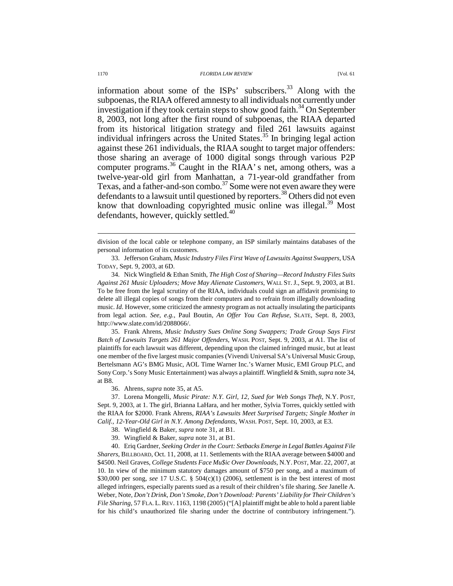information about some of the  $ISPs'$  subscribers.<sup>33</sup> Along with the subpoenas, the RIAA offered amnesty to all individuals not currently under investigation if they took certain steps to show good faith.<sup>34</sup> On September 8, 2003, not long after the first round of subpoenas, the RIAA departed from its historical litigation strategy and filed 261 lawsuits against individual infringers across the United States.<sup>35</sup> In bringing legal action against these 261 individuals, the RIAA sought to target major offenders: those sharing an average of 1000 digital songs through various P2P computer programs.<sup>36</sup> Caught in the RIAA' s net, among others, was a twelve-year-old girl from Manhattan, a 71-year-old grandfather from Texas, and a father-and-son combo.<sup>37</sup> Some were not even aware they were defendants to a lawsuit until questioned by reporters. <sup>38</sup> Others did not even know that downloading copyrighted music online was illegal.<sup>39</sup> Most defendants, however, quickly settled.<sup>40</sup>

division of the local cable or telephone company, an ISP similarly maintains databases of the personal information of its customers.

 33. Jefferson Graham, *Music Industry Files First Wave of Lawsuits Against Swappers*, USA TODAY, Sept. 9, 2003, at 6D.

 34. Nick Wingfield & Ethan Smith, *The High Cost of Sharing—Record Industry Files Suits Against 261 Music Uploaders; Move May Alienate Customers*, WALL ST. J., Sept. 9, 2003, at B1. To be free from the legal scrutiny of the RIAA, individuals could sign an affidavit promising to delete all illegal copies of songs from their computers and to refrain from illegally downloading music. *Id.* However, some criticized the amnesty program as not actually insulating the participants from legal action. *See, e.g.*, Paul Boutin, *An Offer You Can Refuse*, SLATE, Sept. 8, 2003, http://www.slate.com/id/2088066/.

 35. Frank Ahrens, *Music Industry Sues Online Song Swappers; Trade Group Says First Batch of Lawsuits Targets 261 Major Offenders*, WASH. POST, Sept. 9, 2003, at A1. The list of plaintiffs for each lawsuit was different, depending upon the claimed infringed music, but at least one member of the five largest music companies (Vivendi Universal SA's Universal Music Group, Bertelsmann AG's BMG Music, AOL Time Warner Inc.'s Warner Music, EMI Group PLC, and Sony Corp.'s Sony Music Entertainment) was always a plaintiff. Wingfield & Smith, *supra* note 34, at B8.

36. Ahrens, *supra* note 35, at A5.

 37. Lorena Mongelli, *Music Pirate: N.Y. Girl, 12, Sued for Web Songs Theft*, N.Y. POST, Sept. 9, 2003, at 1. The girl, Brianna LaHara, and her mother, Sylvia Torres, quickly settled with the RIAA for \$2000. Frank Ahrens, *RIAA's Lawsuits Meet Surprised Targets; Single Mother in Calif., 12-Year-Old Girl in N.Y. Among Defendants*, WASH. POST, Sept. 10, 2003, at E3.

38. Wingfield & Baker, *supra* note 31, at B1.

39. Wingfield & Baker, *supra* note 31, at B1.

 40. Eriq Gardner, *Seeking Order in the Court: Setbacks Emerge in Legal Battles Against File Sharers*, BILLBOARD, Oct. 11, 2008, at 11. Settlements with the RIAA average between \$4000 and \$4500. Neil Graves, *College Students Face Mu\$ic Over Downloads*, N.Y. POST, Mar. 22, 2007, at 10. In view of the minimum statutory damages amount of \$750 per song, and a maximum of \$30,000 per song, *see* 17 U.S.C. § 504(c)(1) (2006), settlement is in the best interest of most alleged infringers, especially parents sued as a result of their children's file sharing. *See* Janelle A. Weber, Note, *Don't Drink, Don't Smoke, Don't Download: Parents' Liability for Their Children's File Sharing*, 57 FLA. L.REV. 1163, 1198 (2005) ("[A] plaintiff might be able to hold a parent liable for his child's unauthorized file sharing under the doctrine of contributory infringement.").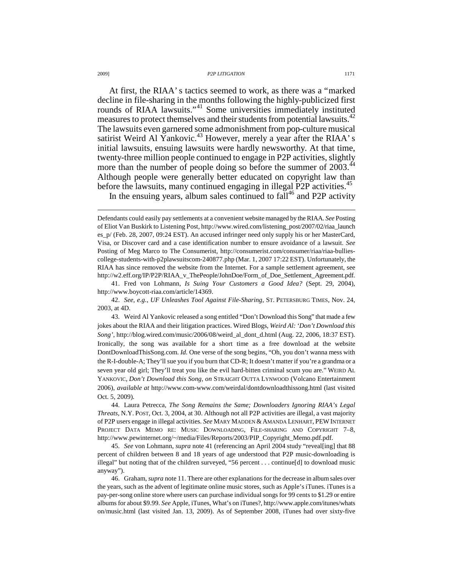At first, the RIAA' s tactics seemed to work, as there was a "marked decline in file-sharing in the months following the highly-publicized first rounds of RIAA lawsuits."<sup>41</sup> Some universities immediately instituted measures to protect themselves and their students from potential lawsuits.<sup>42</sup> The lawsuits even garnered some admonishment from pop-culture musical satirist Weird Al Yankovic.<sup>43</sup> However, merely a year after the RIAA' s initial lawsuits, ensuing lawsuits were hardly newsworthy. At that time, twenty-three million people continued to engage in P2P activities, slightly more than the number of people doing so before the summer of 2003.<sup>44</sup> Although people were generally better educated on copyright law than before the lawsuits, many continued engaging in illegal P2P activities.<sup>45</sup>

In the ensuing years, album sales continued to  $fall<sup>46</sup>$  and P2P activity

 41. Fred von Lohmann, *Is Suing Your Customers a Good Idea?* (Sept. 29, 2004), http://www.boycott-riaa.com/article/14369.

 44. Laura Petrecca, *The Song Remains the Same; Downloaders Ignoring RIAA's Legal Threats*, N.Y. POST, Oct. 3, 2004, at 30. Although not all P2P activities are illegal, a vast majority of P2P users engage in illegal activities. *See* MARY MADDEN & AMANDA LENHART, PEWINTERNET PROJECT DATA MEMO RE: MUSIC DOWNLOADING, FILE-SHARING AND COPYRIGHT 7–8, http://www.pewinternet.org/~/media/Files/Reports/2003/PIP\_Copyright\_Memo.pdf.pdf.

 45. *See* von Lohmann, *supra* note 41 (referencing an April 2004 study "reveal[ing] that 88 percent of children between 8 and 18 years of age understood that P2P music-downloading is illegal" but noting that of the children surveyed, "56 percent . . . continue[d] to download music anyway").

 46. Graham, *supra* note 11. There are other explanations for the decrease in album sales over the years, such as the advent of legitimate online music stores, such as Apple's iTunes. iTunes is a pay-per-song online store where users can purchase individual songs for 99 cents to \$1.29 or entire albums for about \$9.99. *See* Apple, iTunes, What's on iTunes?, http://www.apple.com/itunes/whats on/music.html (last visited Jan. 13, 2009). As of September 2008, iTunes had over sixty-five

Defendants could easily pay settlements at a convenient website managed by the RIAA. *See* Posting of Eliot Van Buskirk to Listening Post, http://www.wired.com/listening\_post/2007/02/riaa\_launch es\_p/ (Feb. 28, 2007, 09:24 EST). An accused infringer need only supply his or her MasterCard, Visa, or Discover card and a case identification number to ensure avoidance of a lawsuit. *See*  Posting of Meg Marco to The Consumerist, http://consumerist.com/consumer/riaa/riaa-bulliescollege-students-with-p2plawsuitscom-240877.php (Mar. 1, 2007 17:22 EST). Unfortunately, the RIAA has since removed the website from the Internet. For a sample settlement agreement, see http://w2.eff.org/IP/P2P/RIAA\_v\_ThePeople/JohnDoe/Form\_of\_Doe\_Settlement\_Agreement.pdf.

 <sup>42.</sup> *See, e.g.*, *UF Unleashes Tool Against File-Sharing*, ST. PETERSBURG TIMES, Nov. 24, 2003, at 4D.

 <sup>43.</sup> Weird Al Yankovic released a song entitled "Don't Download this Song" that made a few jokes about the RIAA and their litigation practices. Wired Blogs, *Weird Al: 'Don't Download this Song'*, http://blog.wired.com/music/2006/08/weird\_al\_dont\_d.html (Aug. 22, 2006, 18:37 EST). Ironically, the song was available for a short time as a free download at the website DontDownloadThisSong.com. *Id.* One verse of the song begins, "Oh, you don't wanna mess with the R-I-double-A; They'll sue you if you burn that CD-R; It doesn't matter if you're a grandma or a seven year old girl; They'll treat you like the evil hard-bitten criminal scum you are." WEIRD AL YANKOVIC, *Don't Download this Song*, *on* STRAIGHT OUTTA LYNWOOD (Volcano Entertainment 2006), *available at* http://www.com-www.com/weirdal/dontdownloadthissong.html (last visited Oct. 5, 2009).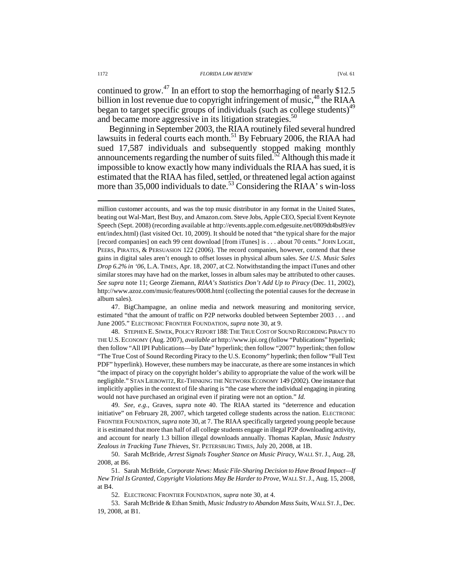continued to grow.<sup>47</sup> In an effort to stop the hemorrhaging of nearly \$12.5 billion in lost revenue due to copyright infringement of music,<sup>48</sup> the RIAA began to target specific groups of individuals (such as college students)<sup>49</sup> and became more aggressive in its litigation strategies.<sup>50</sup>

Beginning in September 2003, the RIAA routinely filed several hundred lawsuits in federal courts each month.<sup>51</sup> By February 2006, the RIAA had sued 17,587 individuals and subsequently stopped making monthly announcements regarding the number of suits filed.<sup>52</sup> Although this made it impossible to know exactly how many individuals the RIAA has sued, it is estimated that the RIAA has filed, settled, or threatened legal action against more than 35,000 individuals to date.<sup>53</sup> Considering the RIAA' s win-loss

 47. BigChampagne, an online media and network measuring and monitoring service, estimated "that the amount of traffic on P2P networks doubled between September 2003 . . . and June 2005." ELECTRONIC FRONTIER FOUNDATION, *supra* note 30, at 9.

 48. STEPHEN E. SIWEK, POLICY REPORT 188:THE TRUE COST OF SOUND RECORDING PIRACY TO THE U.S. ECONOMY (Aug. 2007), *available at* http://www.ipi.org (follow "Publications" hyperlink; then follow "All IPI Publications—by Date" hyperlink; then follow "2007" hyperlink; then follow "The True Cost of Sound Recording Piracy to the U.S. Economy" hyperlink; then follow "Full Text PDF" hyperlink). However, these numbers may be inaccurate, as there are some instances in which "the impact of piracy on the copyright holder's ability to appropriate the value of the work will be negligible." STAN LIEBOWITZ, RE-THINKING THE NETWORK ECONOMY 149 (2002). One instance that implicitly applies in the context of file sharing is "the case where the individual engaging in pirating would not have purchased an original even if pirating were not an option." *Id.*

 49. *See, e.g.*, Graves, *supra* note 40. The RIAA started its "deterrence and education initiative" on February 28, 2007, which targeted college students across the nation. ELECTRONIC FRONTIER FOUNDATION, *supra* note 30, at 7. The RIAA specifically targeted young people because it is estimated that more than half of all college students engage in illegal P2P downloading activity, and account for nearly 1.3 billion illegal downloads annually. Thomas Kaplan, *Music Industry Zealous in Tracking Tune Thieves*, ST. PETERSBURG TIMES, July 20, 2008, at 1B.

 50. Sarah McBride, *Arrest Signals Tougher Stance on Music Piracy*, WALL ST.J., Aug. 28, 2008, at B6.

 51. Sarah McBride, *Corporate News: Music File-Sharing Decision to Have Broad Impact—If New Trial Is Granted, Copyright Violations May Be Harder to Prove*, WALL ST.J., Aug. 15, 2008, at B4.

52. ELECTRONIC FRONTIER FOUNDATION, *supra* note 30, at 4.

 53. Sarah McBride & Ethan Smith, *Music Industry to Abandon Mass Suits*, WALL ST.J., Dec. 19, 2008, at B1.

million customer accounts, and was the top music distributor in any format in the United States, beating out Wal-Mart, Best Buy, and Amazon.com. Steve Jobs, Apple CEO, Special Event Keynote Speech (Sept. 2008) (recording available at http://events.apple.com.edgesuite.net/0809dt4bs89/ev ent/index.html) (last visited Oct. 10, 2009). It should be noted that "the typical share for the major [record companies] on each 99 cent download [from iTunes] is . . . about 70 cents." JOHN LOGIE, PEERS, PIRATES, & PERSUASION 122 (2006). The record companies, however, contend that these gains in digital sales aren't enough to offset losses in physical album sales. *See U.S. Music Sales Drop 6.2% in '06*, L.A. TIMES, Apr. 18, 2007, at C2. Notwithstanding the impact iTunes and other similar stores may have had on the market, losses in album sales may be attributed to other causes. *See supra* note 11; George Ziemann, *RIAA's Statistics Don't Add Up to Piracy* (Dec. 11, 2002), http://www.azoz.com/music/features/0008.html (collecting the potential causes for the decrease in album sales).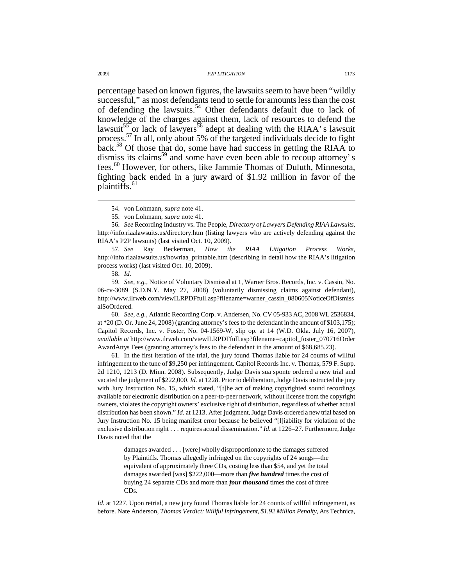percentage based on known figures, the lawsuits seem to have been "wildly successful," as most defendants tend to settle for amounts less than the cost of defending the lawsuits.<sup>54</sup> Other defendants default due to lack of knowledge of the charges against them, lack of resources to defend the lawsuit<sup>55</sup> or lack of lawyers<sup>56</sup> adept at dealing with the RIAA' s lawsuit process.<sup>57</sup> In all, only about 5% of the targeted individuals decide to fight back.<sup>58</sup> Of those that do, some have had success in getting the RIAA to dismiss its claims<sup>59</sup> and some have even been able to recoup attorney's fees.<sup>60</sup> However, for others, like Jammie Thomas of Duluth, Minnesota, fighting back ended in a jury award of \$1.92 million in favor of the plaintiffs.<sup>61</sup>

 57. *See* Ray Beckerman, *How the RIAA Litigation Process Works*, http://info.riaalawsuits.us/howriaa\_printable.htm (describing in detail how the RIAA's litigation process works) (last visited Oct. 10, 2009).

 59. *See, e.g.*, Notice of Voluntary Dismissal at 1, Warner Bros. Records, Inc. v. Cassin, No. 06-cv-3089 (S.D.N.Y. May 27, 2008) (voluntarily dismissing claims against defendant), http://www.ilrweb.com/viewILRPDFfull.asp?filename=warner\_cassin\_080605NoticeOfDismiss alSoOrdered.

 60. *See, e.g.*, Atlantic Recording Corp. v. Andersen, No. CV 05-933 AC, 2008 WL 2536834, at \*20 (D. Or. June 24, 2008) (granting attorney's fees to the defendant in the amount of \$103,175); Capitol Records, Inc. v. Foster, No. 04-1569-W, slip op. at 14 (W.D. Okla. July 16, 2007), *available at* http://www.ilrweb.com/viewILRPDFfull.asp?filename=capitol\_foster\_070716Order AwardAttys Fees (granting attorney's fees to the defendant in the amount of \$68,685.23).

 61. In the first iteration of the trial, the jury found Thomas liable for 24 counts of willful infringement to the tune of \$9,250 per infringement. Capitol Records Inc. v. Thomas, 579 F. Supp. 2d 1210, 1213 (D. Minn. 2008). Subsequently, Judge Davis sua sponte ordered a new trial and vacated the judgment of \$222,000. *Id.* at 1228. Prior to deliberation, Judge Davis instructed the jury with Jury Instruction No. 15, which stated, "[t]he act of making copyrighted sound recordings available for electronic distribution on a peer-to-peer network, without license from the copyright owners, violates the copyright owners' exclusive right of distribution, regardless of whether actual distribution has been shown." *Id*. at 1213. After judgment, Judge Davis ordered a new trial based on Jury Instruction No. 15 being manifest error because he believed "[l]iability for violation of the exclusive distribution right . . . requires actual dissemination." *Id.* at 1226–27. Furthermore, Judge Davis noted that the

> damages awarded . . . [were] wholly disproportionate to the damages suffered by Plaintiffs. Thomas allegedly infringed on the copyrights of 24 songs—the equivalent of approximately three CDs, costing less than \$54, and yet the total damages awarded [was] \$222,000—more than *five hundred* times the cost of buying 24 separate CDs and more than *four thousand* times the cost of three CDs.

*Id.* at 1227. Upon retrial, a new jury found Thomas liable for 24 counts of willful infringement, as before. Nate Anderson, *Thomas Verdict: Willful Infringement, \$1.92 Million Penalty*, Ars Technica,

 <sup>54.</sup> von Lohmann, *supra* note 41.

 <sup>55.</sup> von Lohmann, *supra* note 41.

 <sup>56.</sup> *See* Recording Industry vs. The People, *Directory of Lawyers Defending RIAA Lawsuits*, http://info.riaalawsuits.us/directory.htm (listing lawyers who are actively defending against the RIAA's P2P lawsuits) (last visited Oct. 10, 2009).

 <sup>58.</sup> *Id.*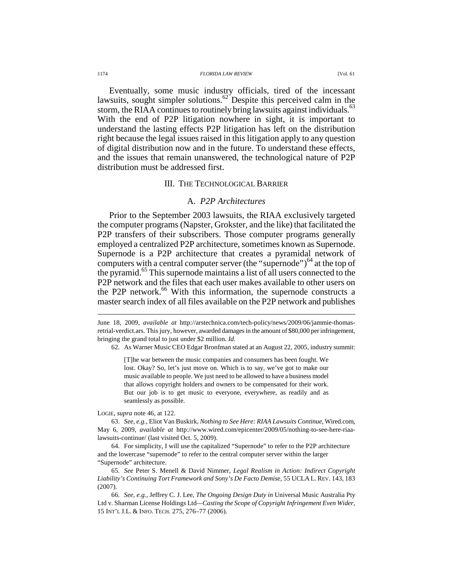#### 1174 *FLORIDA LAW REVIEW* [Vol. 61

Eventually, some music industry officials, tired of the incessant lawsuits, sought simpler solutions.<sup>62</sup> Despite this perceived calm in the storm, the RIAA continues to routinely bring lawsuits against individuals.<sup>63</sup> With the end of P2P litigation nowhere in sight, it is important to understand the lasting effects P2P litigation has left on the distribution right because the legal issues raised in this litigation apply to any question of digital distribution now and in the future. To understand these effects, and the issues that remain unanswered, the technological nature of P2P distribution must be addressed first.

# III. THE TECHNOLOGICAL BARRIER

# A. *P2P Architectures*

Prior to the September 2003 lawsuits, the RIAA exclusively targeted the computer programs (Napster, Grokster, and the like) that facilitated the P2P transfers of their subscribers. Those computer programs generally employed a centralized P2P architecture, sometimes known as Supernode. Supernode is a P2P architecture that creates a pyramidal network of computers with a central computer server (the "supernode") $^{64}$  at the top of the pyramid.<sup>65</sup> This supernode maintains a list of all users connected to the P2P network and the files that each user makes available to other users on the P2P network.<sup>66</sup> With this information, the supernode constructs a master search index of all files available on the P2P network and publishes

June 18, 2009, *available at* http://arstechnica.com/tech-policy/news/2009/06/jammie-thomasretrial-verdict.ars. This jury, however, awarded damages in the amount of \$80,000 per infringement, bringing the grand total to just under \$2 million. *Id.*

62. As Warner Music CEO Edgar Bronfman stated at an August 22, 2005, industry summit:

[T]he war between the music companies and consumers has been fought. We lost. Okay? So, let's just move on. Which is to say, we've got to make our music available to people. We just need to be allowed to have a business model that allows copyright holders and owners to be compensated for their work. But our job is to get music to everyone, everywhere, as readily and as seamlessly as possible.

LOGIE, *supra* note 46, at 122.

 63. *See, e.g.*, Eliot Van Buskirk, *Nothing to See Here: RIAA Lawsuits Continue*, Wired.com, May 6, 2009, *available at* http://www.wired.com/epicenter/2009/05/nothing-to-see-here-riaalawsuits-continue/ (last visited Oct. 5, 2009).

 64. For simplicity, I will use the capitalized "Supernode" to refer to the P2P architecture and the lowercase "supernode" to refer to the central computer server within the larger "Supernode" architecture.

 65. *See* Peter S. Menell & David Nimmer, *Legal Realism in Action: Indirect Copyright Liability's Continuing Tort Framework and Sony's De Facto Demise*, 55 UCLA L. REV. 143, 183 (2007).

 66. *See, e.g.*, Jeffrey C. J. Lee, *The Ongoing Design Duty in* Universal Music Australia Pty Ltd v. Sharman License Holdings Ltd*—Casting the Scope of Copyright Infringement Even Wider*, 15 INT'L J.L. & INFO. TECH. 275, 276–77 (2006).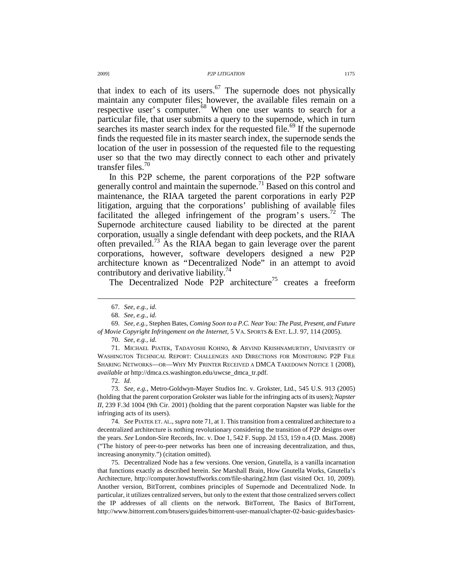that index to each of its users.<sup>67</sup> The supernode does not physically maintain any computer files; however, the available files remain on a respective user's computer.<sup>68</sup> When one user wants to search for a particular file, that user submits a query to the supernode, which in turn searches its master search index for the requested file.<sup>69</sup> If the supernode finds the requested file in its master search index, the supernode sends the location of the user in possession of the requested file to the requesting user so that the two may directly connect to each other and privately transfer files. $70$ 

In this P2P scheme, the parent corporations of the P2P software generally control and maintain the supernode.<sup>71</sup> Based on this control and maintenance, the RIAA targeted the parent corporations in early P2P litigation, arguing that the corporations' publishing of available files facilitated the alleged infringement of the program's users.<sup>72</sup> The Supernode architecture caused liability to be directed at the parent corporation, usually a single defendant with deep pockets, and the RIAA often prevailed.<sup>73</sup> As the RIAA began to gain leverage over the parent corporations, however, software developers designed a new P2P architecture known as "Decentralized Node" in an attempt to avoid contributory and derivative liability.<sup>74</sup>

The Decentralized Node P2P architecture<sup>75</sup> creates a freeform

 $\overline{a}$ 

70. *See, e.g.*, *id.*

 71. MICHAEL PIATEK, TADAYOSHI KOHNO, & ARVIND KRISHNAMURTHY, UNIVERSITY OF WASHINGTON TECHNICAL REPORT: CHALLENGES AND DIRECTIONS FOR MONITORING P2P FILE SHARING NETWORKS—OR—WHY MY PRINTER RECEIVED A DMCA TAKEDOWN NOTICE 1 (2008), *available at* http://dmca.cs.washington.edu/uwcse\_dmca\_tr.pdf.

72. *Id.*

 73. *See, e.g.*, Metro-Goldwyn-Mayer Studios Inc. v. Grokster, Ltd., 545 U.S. 913 (2005) (holding that the parent corporation Grokster was liable for the infringing acts of its users); *Napster II*, 239 F.3d 1004 (9th Cir. 2001) (holding that the parent corporation Napster was liable for the infringing acts of its users).

 74. *See* PIATEK ET. AL., *supra* note 71, at 1. This transition from a centralized architecture to a decentralized architecture is nothing revolutionary considering the transition of P2P designs over the years. *See* London-Sire Records, Inc. v. Doe 1, 542 F. Supp. 2d 153, 159 n.4 (D. Mass. 2008) ("The history of peer-to-peer networks has been one of increasing decentralization, and thus, increasing anonymity.") (citation omitted).

 75. Decentralized Node has a few versions. One version, Gnutella, is a vanilla incarnation that functions exactly as described herein. *See* Marshall Brain, How Gnutella Works, Gnutella's Architecture, http://computer.howstuffworks.com/file-sharing2.htm (last visited Oct. 10, 2009). Another version, BitTorrent, combines principles of Supernode and Decentralized Node. In particular, it utilizes centralized servers, but only to the extent that those centralized servers collect the IP addresses of all clients on the network. BitTorrent, The Basics of BitTorrent, http://www.bittorrent.com/btusers/guides/bittorrent-user-manual/chapter-02-basic-guides/basics-

 <sup>67.</sup> *See, e.g.*, *id.* 

 <sup>68.</sup> *See, e.g.*, *id.*

 <sup>69.</sup> *See, e.g.*, Stephen Bates, *Coming Soon to a P.C. Near You: The Past, Present, and Future of Movie Copyright Infringement on the Internet*, 5 VA. SPORTS & ENT. L.J. 97, 114 (2005).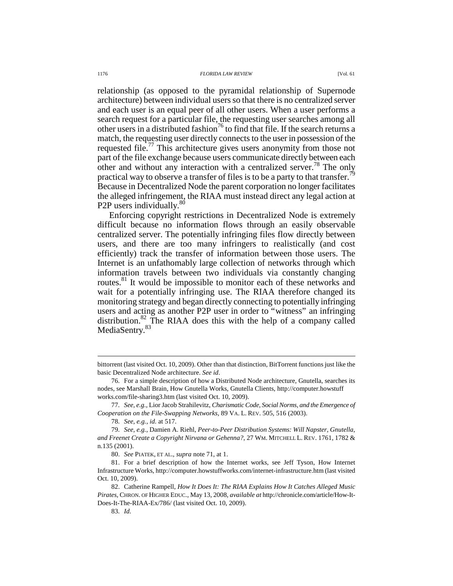relationship (as opposed to the pyramidal relationship of Supernode architecture) between individual users so that there is no centralized server and each user is an equal peer of all other users. When a user performs a search request for a particular file, the requesting user searches among all other users in a distributed fashion<sup>76</sup> to find that file. If the search returns a match, the requesting user directly connects to the user in possession of the requested file.<sup>77</sup> This architecture gives users anonymity from those not part of the file exchange because users communicate directly between each other and without any interaction with a centralized server.<sup>78</sup> The only practical way to observe a transfer of files is to be a party to that transfer.<sup>7</sup> Because in Decentralized Node the parent corporation no longer facilitates the alleged infringement, the RIAA must instead direct any legal action at P2P users individually.<sup>80</sup>

Enforcing copyright restrictions in Decentralized Node is extremely difficult because no information flows through an easily observable centralized server. The potentially infringing files flow directly between users, and there are too many infringers to realistically (and cost efficiently) track the transfer of information between those users. The Internet is an unfathomably large collection of networks through which information travels between two individuals via constantly changing routes.<sup>81</sup> It would be impossible to monitor each of these networks and wait for a potentially infringing use. The RIAA therefore changed its monitoring strategy and began directly connecting to potentially infringing users and acting as another P2P user in order to "witness" an infringing distribution.<sup>82</sup> The RIAA does this with the help of a company called MediaSentry.<sup>83</sup>

83. *Id.*

bittorrent (last visited Oct. 10, 2009). Other than that distinction, BitTorrent functions just like the basic Decentralized Node architecture. *See id*.

 <sup>76.</sup> For a simple description of how a Distributed Node architecture, Gnutella, searches its nodes, see Marshall Brain, How Gnutella Works, Gnutella Clients, http://computer.howstuff works.com/file-sharing3.htm (last visited Oct. 10, 2009).

 <sup>77.</sup> *See, e.g.*, Lior Jacob Strahilevitz, *Charismatic Code, Social Norms, and the Emergence of Cooperation on the File-Swapping Networks*, 89 VA. L. REV. 505, 516 (2003).

 <sup>78.</sup> *See, e.g.*, *id.* at 517.

 <sup>79.</sup> *See, e.g.*, Damien A. Riehl, *Peer-to-Peer Distribution Systems: Will Napster, Gnutella, and Freenet Create a Copyright Nirvana or Gehenna?*, 27 WM. MITCHELL L. REV. 1761, 1782 & n.135 (2001).

 <sup>80.</sup> *See* PIATEK, ET AL., *supra* note 71, at 1.

 <sup>81.</sup> For a brief description of how the Internet works, see Jeff Tyson, How Internet Infrastructure Works, http://computer.howstuffworks.com/internet-infrastructure.htm (last visited Oct. 10, 2009).

 <sup>82.</sup> Catherine Rampell, *How It Does It: The RIAA Explains How It Catches Alleged Music Pirates*, CHRON. OF HIGHER EDUC., May 13, 2008, *available at* http://chronicle.com/article/How-It-Does-It-The-RIAA-Ex/786/ (last visited Oct. 10, 2009).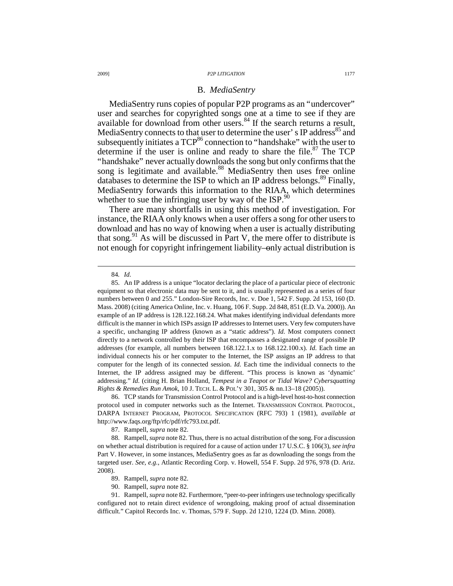### B. *MediaSentry*

MediaSentry runs copies of popular P2P programs as an "undercover" user and searches for copyrighted songs one at a time to see if they are available for download from other users.<sup>84</sup> If the search returns a result, MediaSentry connects to that user to determine the user's IP address<sup>85</sup> and subsequently initiates a  $TCP^{86}$  connection to "handshake" with the user to determine if the user is online and ready to share the file. $87$  The TCP "handshake" never actually downloads the song but only confirms that the song is legitimate and available.<sup>88</sup> MediaSentry then uses free online databases to determine the ISP to which an IP address belongs.<sup>89</sup> Finally, MediaSentry forwards this information to the RIAA, which determines whether to sue the infringing user by way of the ISP. $90$ 

There are many shortfalls in using this method of investigation. For instance, the RIAA only knows when a user offers a song for other users to download and has no way of knowing when a user is actually distributing that song.<sup>91</sup> As will be discussed in Part V, the mere offer to distribute is not enough for copyright infringement liability—only actual distribution is

 $\overline{a}$ 

 86. TCP stands for Transmission Control Protocol and is a high-level host-to-host connection protocol used in computer networks such as the Internet. TRANSMISSION CONTROL PROTOCOL, DARPA INTERNET PROGRAM, PROTOCOL SPECIFICATION (RFC 793) 1 (1981), *available at* http://www.faqs.org/ftp/rfc/pdf/rfc793.txt.pdf.

87. Rampell, *supra* note 82.

 88. Rampell, *supra* note 82. Thus, there is no actual distribution of the song. For a discussion on whether actual distribution is required for a cause of action under 17 U.S.C. § 106(3), *see infra* Part V. However, in some instances, MediaSentry goes as far as downloading the songs from the targeted user. *See, e.g.*, Atlantic Recording Corp. v. Howell, 554 F. Supp. 2d 976, 978 (D. Ariz. 2008).

90. Rampell, *supra* note 82.

 91. Rampell, *supra* note 82. Furthermore, "peer-to-peer infringers use technology specifically configured not to retain direct evidence of wrongdoing, making proof of actual dissemination difficult." Capitol Records Inc. v. Thomas, 579 F. Supp. 2d 1210, 1224 (D. Minn. 2008).

<sup>84</sup>*. Id.*

 <sup>85.</sup> An IP address is a unique "locator declaring the place of a particular piece of electronic equipment so that electronic data may be sent to it, and is usually represented as a series of four numbers between 0 and 255." London-Sire Records, Inc. v. Doe 1, 542 F. Supp. 2d 153, 160 (D. Mass. 2008) (citing America Online, Inc. v. Huang, 106 F. Supp. 2d 848, 851 (E.D. Va. 2000)). An example of an IP address is 128.122.168.24. What makes identifying individual defendants more difficult is the manner in which ISPs assign IP addresses to Internet users. Very few computers have a specific, unchanging IP address (known as a "static address"). *Id.* Most computers connect directly to a network controlled by their ISP that encompasses a designated range of possible IP addresses (for example, all numbers between 168.122.1.x to 168.122.100.x). *Id.* Each time an individual connects his or her computer to the Internet, the ISP assigns an IP address to that computer for the length of its connected session. *Id.* Each time the individual connects to the Internet, the IP address assigned may be different. "This process is known as 'dynamic' addressing." *Id.* (citing H. Brian Holland, *Tempest in a Teapot or Tidal Wave? Cybersquatting Rights & Remedies Run Amok*, 10 J. TECH. L. & POL'Y 301, 305 & nn.13–18 (2005)).

 <sup>89.</sup> Rampell, *supra* note 82.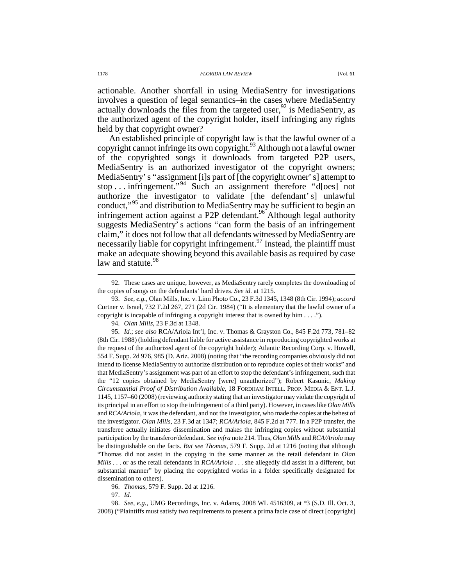actionable. Another shortfall in using MediaSentry for investigations involves a question of legal semantics—in the cases where MediaSentry actually downloads the files from the targeted user,  $92$  is MediaSentry, as the authorized agent of the copyright holder, itself infringing any rights held by that copyright owner?

An established principle of copyright law is that the lawful owner of a copyright cannot infringe its own copyright.<sup>93</sup> Although not a lawful owner of the copyrighted songs it downloads from targeted P2P users, MediaSentry is an authorized investigator of the copyright owners; MediaSentry' s "assignment [i]s part of [the copyright owner' s] attempt to stop . . . infringement."<sup>94</sup> Such an assignment therefore "d[oes] not authorize the investigator to validate [the defendant' s] unlawful conduct,"<sup>95</sup> and distribution to MediaSentry may be sufficient to begin an infringement action against a P2P defendant.<sup>96</sup> Although legal authority suggests MediaSentry' s actions "can form the basis of an infringement claim," it does not follow that all defendants witnessed by MediaSentry are necessarily liable for copyright infringement.<sup>97</sup> Instead, the plaintiff must make an adequate showing beyond this available basis as required by case law and statute.<sup>98</sup>

97. *Id.*

 98. *See, e.g.*, UMG Recordings, Inc. v. Adams, 2008 WL 4516309, at \*3 (S.D. Ill. Oct. 3, 2008) ("Plaintiffs must satisfy two requirements to present a prima facie case of direct [copyright]

 <sup>92.</sup> These cases are unique, however, as MediaSentry rarely completes the downloading of the copies of songs on the defendants' hard drives. *See id.* at 1215.

 <sup>93.</sup> *See, e.g.*, Olan Mills, Inc. v. Linn Photo Co., 23 F.3d 1345, 1348 (8th Cir. 1994); *accord* Cortner v. Israel, 732 F.2d 267, 271 (2d Cir. 1984) ("It is elementary that the lawful owner of a copyright is incapable of infringing a copyright interest that is owned by him . . . .").

 <sup>94.</sup> *Olan Mills*, 23 F.3d at 1348.

 <sup>95.</sup> *Id.*; *see also* RCA/Ariola Int'l, Inc. v. Thomas & Grayston Co., 845 F.2d 773, 781–82 (8th Cir. 1988) (holding defendant liable for active assistance in reproducing copyrighted works at the request of the authorized agent of the copyright holder); Atlantic Recording Corp. v. Howell, 554 F. Supp. 2d 976, 985 (D. Ariz. 2008) (noting that "the recording companies obviously did not intend to license MediaSentry to authorize distribution or to reproduce copies of their works" and that MediaSentry's assignment was part of an effort to stop the defendant's infringement, such that the "12 copies obtained by MediaSentry [were] unauthorized"); Robert Kasunic, *Making Circumstantial Proof of Distribution Available*, 18 FORDHAM INTELL. PROP. MEDIA & ENT. L.J. 1145, 1157–60 (2008) (reviewing authority stating that an investigator may violate the copyright of its principal in an effort to stop the infringement of a third party). However, in cases like *Olan Mills* and *RCA/Ariola*, it was the defendant, and not the investigator, who made the copies at the behest of the investigator. *Olan Mills*, 23 F.3d at 1347; *RCA/Ariola*, 845 F.2d at 777. In a P2P transfer, the transferee actually initiates dissemination and makes the infringing copies without substantial participation by the transferor/defendant. *See infra* note 214. Thus, *Olan Mills* and *RCA/Ariola* may be distinguishable on the facts. *But see Thomas*, 579 F. Supp. 2d at 1216 (noting that although "Thomas did not assist in the copying in the same manner as the retail defendant in *Olan Mills* . . . or as the retail defendants in *RCA/Ariola* . . . she allegedly did assist in a different, but substantial manner" by placing the copyrighted works in a folder specifically designated for dissemination to others).

 <sup>96.</sup> *Thomas*, 579 F. Supp. 2d at 1216.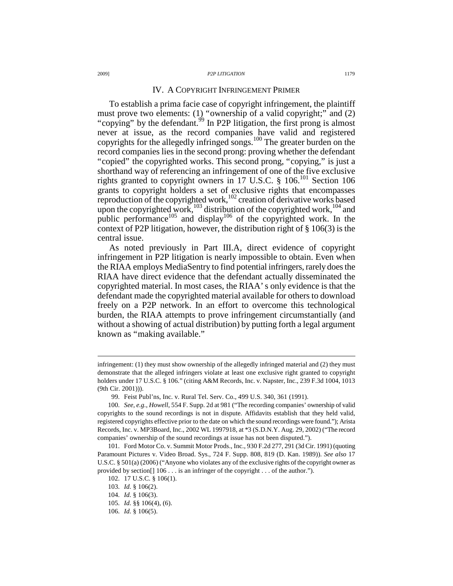### IV. A COPYRIGHT INFRINGEMENT PRIMER

To establish a prima facie case of copyright infringement, the plaintiff must prove two elements: (1) "ownership of a valid copyright;" and (2) "copying" by the defendant.<sup>99</sup> In P2P litigation, the first prong is almost never at issue, as the record companies have valid and registered copyrights for the allegedly infringed songs.<sup>100</sup> The greater burden on the record companies lies in the second prong: proving whether the defendant "copied" the copyrighted works. This second prong, "copying," is just a shorthand way of referencing an infringement of one of the five exclusive rights granted to copyright owners in 17 U.S.C. § 106.<sup>101</sup> Section 106 grants to copyright holders a set of exclusive rights that encompasses reproduction of the copyrighted work,<sup>102</sup> creation of derivative works based upon the copyrighted work,<sup>103</sup> distribution of the copyrighted work,<sup>104</sup> and public performance<sup>105</sup> and display<sup>106</sup> of the copyrighted work. In the context of P2P litigation, however, the distribution right of § 106(3) is the central issue.

As noted previously in Part III.A, direct evidence of copyright infringement in P2P litigation is nearly impossible to obtain. Even when the RIAA employs MediaSentry to find potential infringers, rarely does the RIAA have direct evidence that the defendant actually disseminated the copyrighted material. In most cases, the RIAA' s only evidence is that the defendant made the copyrighted material available for others to download freely on a P2P network. In an effort to overcome this technological burden, the RIAA attempts to prove infringement circumstantially (and without a showing of actual distribution) by putting forth a legal argument known as "making available."

infringement: (1) they must show ownership of the allegedly infringed material and (2) they must demonstrate that the alleged infringers violate at least one exclusive right granted to copyright holders under 17 U.S.C. § 106." (citing A&M Records, Inc. v. Napster, Inc., 239 F.3d 1004, 1013 (9th Cir. 2001))).

 <sup>99.</sup> Feist Publ'ns, Inc. v. Rural Tel. Serv. Co., 499 U.S. 340, 361 (1991).

 <sup>100.</sup> *See, e.g.*, *Howell*, 554 F. Supp. 2d at 981 ("The recording companies' ownership of valid copyrights to the sound recordings is not in dispute. Affidavits establish that they held valid, registered copyrights effective prior to the date on which the sound recordings were found."); Arista Records, Inc. v. MP3Board, Inc., 2002 WL 1997918, at \*3 (S.D.N.Y. Aug. 29, 2002) ("The record companies' ownership of the sound recordings at issue has not been disputed.").

 <sup>101.</sup> Ford Motor Co. v. Summit Motor Prods., Inc., 930 F.2d 277, 291 (3d Cir. 1991) (quoting Paramount Pictures v. Video Broad. Sys., 724 F. Supp. 808, 819 (D. Kan. 1989)). *See also* 17 U.S.C. § 501(a) (2006) ("Anyone who violates any of the exclusive rights of the copyright owner as provided by section[] 106 . . . is an infringer of the copyright . . . of the author.").

 <sup>102. 17</sup> U.S.C. § 106(1).

 <sup>103.</sup> *Id.* § 106(2).

 <sup>104.</sup> *Id.* § 106(3).

 <sup>105.</sup> *Id.* §§ 106(4), (6).

 <sup>106.</sup> *Id.* § 106(5).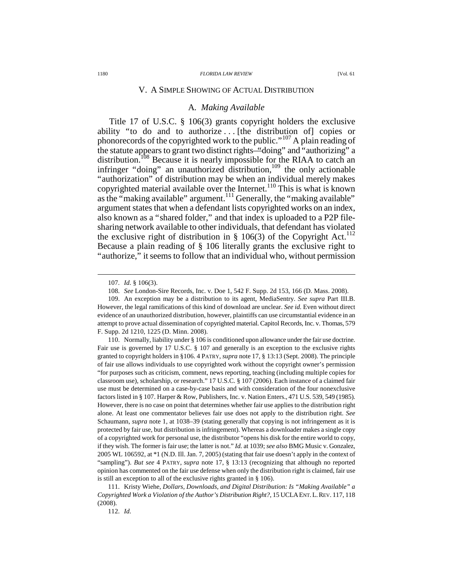### V. A SIMPLE SHOWING OF ACTUAL DISTRIBUTION

### A*. Making Available*

Title 17 of U.S.C. § 106(3) grants copyright holders the exclusive ability "to do and to authorize ... [the distribution of] copies or phonorecords of the copyrighted work to the public."<sup>107</sup> A plain reading of the statute appears to grant two distinct rights—"doing" and "authorizing" a distribution.<sup>108</sup> Because it is nearly impossible for the RIAA to catch an infringer "doing" an unauthorized distribution,  $109$  the only actionable "authorization" of distribution may be when an individual merely makes copyrighted material available over the Internet.<sup>110</sup> This is what is known as the "making available" argument.<sup>111</sup> Generally, the "making available" argument states that when a defendant lists copyrighted works on an index, also known as a "shared folder," and that index is uploaded to a P2P filesharing network available to other individuals, that defendant has violated the exclusive right of distribution in  $\S$  106(3) of the Copyright Act.<sup>112</sup> Because a plain reading of § 106 literally grants the exclusive right to "authorize," it seems to follow that an individual who, without permission

 $\overline{a}$ 

112. *Id.*

 <sup>107.</sup> *Id.* § 106(3).

 <sup>108.</sup> *See* London-Sire Records, Inc. v. Doe 1, 542 F. Supp. 2d 153, 166 (D. Mass. 2008).

 <sup>109.</sup> An exception may be a distribution to its agent, MediaSentry. *See supra* Part III.B. However, the legal ramifications of this kind of download are unclear. *See id.* Even without direct evidence of an unauthorized distribution, however, plaintiffs can use circumstantial evidence in an attempt to prove actual dissemination of copyrighted material. Capitol Records, Inc. v. Thomas, 579 F. Supp. 2d 1210, 1225 (D. Minn. 2008).

 <sup>110.</sup> Normally, liability under § 106 is conditioned upon allowance under the fair use doctrine. Fair use is governed by 17 U.S.C. § 107 and generally is an exception to the exclusive rights granted to copyright holders in §106. 4 PATRY, *supra* note 17, § 13:13 (Sept. 2008). The principle of fair use allows individuals to use copyrighted work without the copyright owner's permission "for purposes such as criticism, comment, news reporting, teaching (including multiple copies for classroom use), scholarship, or research." 17 U.S.C. § 107 (2006). Each instance of a claimed fair use must be determined on a case-by-case basis and with consideration of the four nonexclusive factors listed in § 107. Harper & Row, Publishers, Inc. v. Nation Enters., 471 U.S. 539, 549 (1985). However, there is no case on point that determines whether fair use applies to the distribution right alone. At least one commentator believes fair use does not apply to the distribution right. *See* Schaumann, *supra* note 1, at 1038–39 (stating generally that copying is not infringement as it is protected by fair use, but distribution is infringement). Whereas a downloader makes a single copy of a copyrighted work for personal use, the distributor "opens his disk for the entire world to copy, if they wish. The former is fair use; the latter is not." *Id.* at 1039; *see also* BMG Music v. Gonzalez, 2005 WL 106592, at \*1 (N.D. Ill. Jan. 7, 2005) (stating that fair use doesn't apply in the context of "sampling"). *But see* 4 PATRY, *supra* note 17, § 13:13 (recognizing that although no reported opinion has commented on the fair use defense when only the distribution right is claimed, fair use is still an exception to all of the exclusive rights granted in § 106).

 <sup>111.</sup> Kristy Wiehe, *Dollars, Downloads, and Digital Distribution: Is "Making Available" a Copyrighted Work a Violation of the Author's Distribution Right?*, 15 UCLAENT.L.REV. 117, 118 (2008).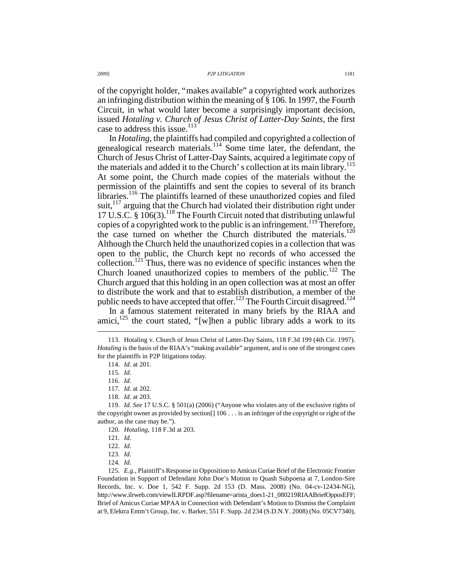of the copyright holder, "makes available" a copyrighted work authorizes an infringing distribution within the meaning of § 106. In 1997, the Fourth Circuit, in what would later become a surprisingly important decision, issued *Hotaling v. Church of Jesus Christ of Latter-Day Saints*, the first case to address this issue. $113^\circ$ 

In *Hotaling*, the plaintiffs had compiled and copyrighted a collection of genealogical research materials.<sup>114</sup> Some time later, the defendant, the Church of Jesus Christ of Latter-Day Saints, acquired a legitimate copy of the materials and added it to the Church' s collection at its main library.<sup>115</sup> At some point, the Church made copies of the materials without the permission of the plaintiffs and sent the copies to several of its branch libraries.<sup>116</sup> The plaintiffs learned of these unauthorized copies and filed suit,<sup>117</sup> arguing that the Church had violated their distribution right under 17 U.S.C. § 106(3).<sup>118</sup> The Fourth Circuit noted that distributing unlawful copies of a copyrighted work to the public is an infringement.<sup>119</sup> Therefore, the case turned on whether the Church distributed the materials.<sup>120</sup> Although the Church held the unauthorized copies in a collection that was open to the public, the Church kept no records of who accessed the collection.<sup>121</sup> Thus, there was no evidence of specific instances when the Church loaned unauthorized copies to members of the public.<sup>122</sup> The Church argued that this holding in an open collection was at most an offer to distribute the work and that to establish distribution, a member of the public needs to have accepted that offer.<sup>123</sup> The Fourth Circuit disagreed.<sup>124</sup>

In a famous statement reiterated in many briefs by the RIAA and amici, $125$  the court stated, "[w]hen a public library adds a work to its

 $\overline{a}$ 

120. *Hotaling*, 118 F.3d at 203.

 <sup>113.</sup> Hotaling v. Church of Jesus Christ of Latter-Day Saints, 118 F.3d 199 (4th Cir. 1997). *Hotaling* is the basis of the RIAA's "making available" argument, and is one of the strongest cases for the plaintiffs in P2P litigations today.

 <sup>114.</sup> *Id.* at 201.

 <sup>115.</sup> *Id.*

 <sup>116.</sup> *Id.*

 <sup>117.</sup> *Id.* at 202.

 <sup>118.</sup> *Id.* at 203.

 <sup>119.</sup> *Id. See* 17 U.S.C. § 501(a) (2006) ("Anyone who violates any of the exclusive rights of the copyright owner as provided by section[] 106 . . . is an infringer of the copyright or right of the author, as the case may be.").

 <sup>121.</sup> *Id.*

 <sup>122.</sup> *Id.*

 <sup>123.</sup> *Id.*

 <sup>124.</sup> *Id.*

 <sup>125.</sup> *E.g.*, Plaintiff's Response in Opposition to Amicus Curiae Brief of the Electronic Frontier Foundation in Support of Defendant John Doe's Motion to Quash Subpoena at 7, London-Sire Records, Inc. v. Doe 1, 542 F. Supp. 2d 153 (D. Mass. 2008) (No. 04-cv-12434-NG), http://www.ilrweb.com/viewILRPDF.asp?filename=arista\_does1-21\_080219RIAABriefOpposEFF; Brief of Amicus Curiae MPAA in Connection with Defendant's Motion to Dismiss the Complaint at 9, Elektra Entm't Group, Inc. v. Barker, 551 F. Supp. 2d 234 (S.D.N.Y. 2008) (No. 05CV7340),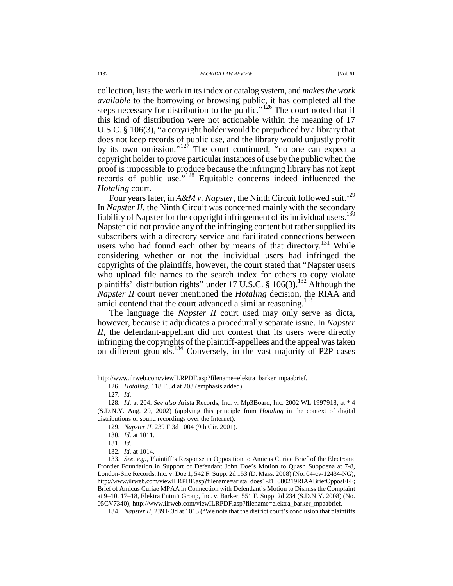collection, lists the work in its index or catalog system, and *makes the work available* to the borrowing or browsing public, it has completed all the steps necessary for distribution to the public."<sup>126</sup> The court noted that if this kind of distribution were not actionable within the meaning of 17 U.S.C. § 106(3), "a copyright holder would be prejudiced by a library that does not keep records of public use, and the library would unjustly profit by its own omission."<sup>127</sup> The court continued, "no one can expect a copyright holder to prove particular instances of use by the public when the

proof is impossible to produce because the infringing library has not kept records of public use."<sup>128</sup> Equitable concerns indeed influenced the *Hotaling* court.

Four years later, in  $A\&Mv$ . Napster, the Ninth Circuit followed suit.<sup>129</sup> In *Napster II*, the Ninth Circuit was concerned mainly with the secondary liability of Napster for the copyright infringement of its individual users.<sup>130</sup> Napster did not provide any of the infringing content but rather supplied its subscribers with a directory service and facilitated connections between users who had found each other by means of that directory.<sup>131</sup> While considering whether or not the individual users had infringed the copyrights of the plaintiffs, however, the court stated that "Napster users who upload file names to the search index for others to copy violate plaintiffs' distribution rights" under 17 U.S.C.  $\S$  106(3).<sup>132</sup> Although the *Napster II* court never mentioned the *Hotaling* decision, the RIAA and amici contend that the court advanced a similar reasoning.<sup>133</sup>

The language the *Napster II* court used may only serve as dicta, however, because it adjudicates a procedurally separate issue. In *Napster II*, the defendant-appellant did not contest that its users were directly infringing the copyrights of the plaintiff-appellees and the appeal was taken on different grounds.<sup>134</sup> Conversely, in the vast majority of P2P cases

http://www.ilrweb.com/viewILRPDF.asp?filename=elektra\_barker\_mpaabrief.

 <sup>126.</sup> *Hotaling*, 118 F.3d at 203 (emphasis added).

 <sup>127.</sup> *Id.*

 <sup>128.</sup> *Id.* at 204. *See also* Arista Records, Inc. v. Mp3Board, Inc. 2002 WL 1997918, at \* 4 (S.D.N.Y. Aug. 29, 2002) (applying this principle from *Hotaling* in the context of digital distributions of sound recordings over the Internet).

 <sup>129.</sup> *Napster II*, 239 F.3d 1004 (9th Cir. 2001).

 <sup>130.</sup> *Id.* at 1011.

 <sup>131.</sup> *Id.*

 <sup>132.</sup> *Id.* at 1014.

 <sup>133.</sup> *See, e.g.*, Plaintiff's Response in Opposition to Amicus Curiae Brief of the Electronic Frontier Foundation in Support of Defendant John Doe's Motion to Quash Subpoena at 7-8, London-Sire Records, Inc. v. Doe 1, 542 F. Supp. 2d 153 (D. Mass. 2008) (No. 04-cv-12434-NG), http://www.ilrweb.com/viewILRPDF.asp?filename=arista\_does1-21\_080219RIAABriefOpposEFF; Brief of Amicus Curiae MPAA in Connection with Defendant's Motion to Dismiss the Complaint at 9–10, 17–18, Elektra Entm't Group, Inc. v. Barker, 551 F. Supp. 2d 234 (S.D.N.Y. 2008) (No. 05CV7340), http://www.ilrweb.com/viewILRPDF.asp?filename=elektra\_barker\_mpaabrief.

 <sup>134.</sup> *Napster II*, 239 F.3d at 1013 ("We note that the district court's conclusion that plaintiffs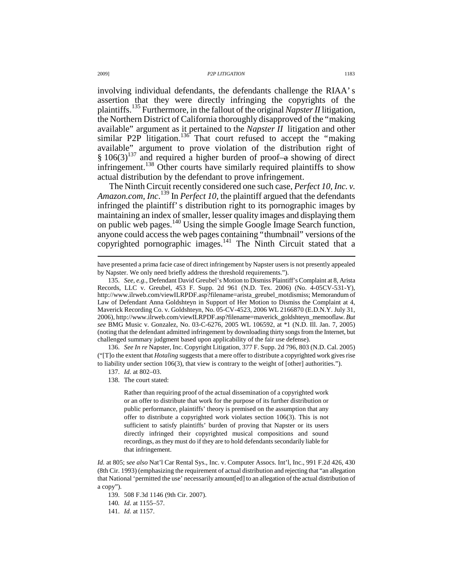involving individual defendants, the defendants challenge the RIAA' s assertion that they were directly infringing the copyrights of the plaintiffs.<sup>135</sup> Furthermore, in the fallout of the original *Napster II* litigation, the Northern District of California thoroughly disapproved of the "making available" argument as it pertained to the *Napster II* litigation and other similar P2P litigation.<sup>136</sup> That court refused to accept the "making available" argument to prove violation of the distribution right of  $§ 106(3)^{137}$  and required a higher burden of proof-a showing of direct infringement.<sup>138</sup> Other courts have similarly required plaintiffs to show actual distribution by the defendant to prove infringement.

The Ninth Circuit recently considered one such case, *Perfect 10, Inc. v. Amazon.com, Inc*. <sup>139</sup> In *Perfect 10*, the plaintiff argued that the defendants infringed the plaintiff' s distribution right to its pornographic images by maintaining an index of smaller, lesser quality images and displaying them on public web pages.<sup>140</sup> Using the simple Google Image Search function, anyone could access the web pages containing "thumbnail" versions of the copyrighted pornographic images. $141$  The Ninth Circuit stated that a

 136. *See In re* Napster, Inc. Copyright Litigation, 377 F. Supp. 2d 796, 803 (N.D. Cal. 2005) ("[T]o the extent that *Hotaling* suggests that a mere offer to distribute a copyrighted work gives rise to liability under section 106(3), that view is contrary to the weight of [other] authorities.").

138. The court stated:

Rather than requiring proof of the actual dissemination of a copyrighted work or an offer to distribute that work for the purpose of its further distribution or public performance, plaintiffs' theory is premised on the assumption that any offer to distribute a copyrighted work violates section 106(3). This is not sufficient to satisfy plaintiffs' burden of proving that Napster or its users directly infringed their copyrighted musical compositions and sound recordings, as they must do if they are to hold defendants secondarily liable for that infringement.

139. 508 F.3d 1146 (9th Cir. 2007).

140*. Id.* at 1155–57.

141. *Id.* at 1157.

have presented a prima facie case of direct infringement by Napster users is not presently appealed by Napster. We only need briefly address the threshold requirements.").

 <sup>135.</sup> *See, e.g.*, Defendant David Greubel's Motion to Dismiss Plaintiff's Complaint at 8, Arista Records, LLC v. Greubel, 453 F. Supp. 2d 961 (N.D. Tex. 2006) (No. 4-05CV-531-Y), http://www.ilrweb.com/viewILRPDF.asp?filename=arista\_greubel\_motdismiss; Memorandum of Law of Defendant Anna Goldshteyn in Support of Her Motion to Dismiss the Complaint at 4, Maverick Recording Co. v. Goldshteyn, No. 05-CV-4523, 2006 WL 2166870 (E.D.N.Y. July 31, 2006), http://www.ilrweb.com/viewILRPDF.asp?filename=maverick\_goldshteyn\_memooflaw. *But see* BMG Music v. Gonzalez, No. 03-C-6276, 2005 WL 106592, at \*1 (N.D. Ill. Jan. 7, 2005) (noting that the defendant admitted infringement by downloading thirty songs from the Internet, but challenged summary judgment based upon applicability of the fair use defense).

 <sup>137.</sup> *Id.* at 802–03.

*Id.* at 805; s*ee also* Nat'l Car Rental Sys., Inc. v. Computer Assocs. Int'l, Inc., 991 F.2d 426, 430 (8th Cir. 1993) (emphasizing the requirement of actual distribution and rejecting that "an allegation that National 'permitted the use' necessarily amount[ed] to an allegation of the actual distribution of a copy").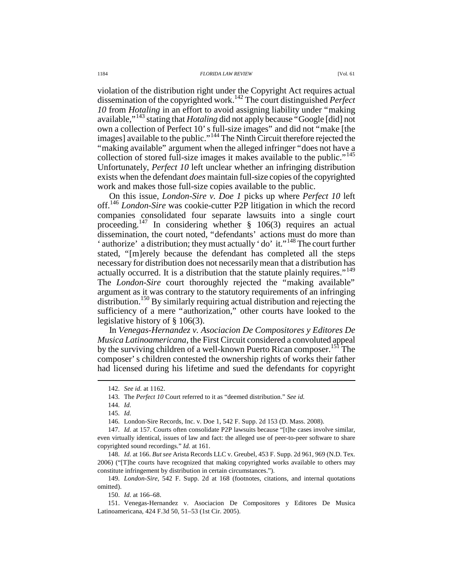violation of the distribution right under the Copyright Act requires actual dissemination of the copyrighted work.<sup>142</sup> The court distinguished *Perfect 10* from *Hotaling* in an effort to avoid assigning liability under "making available,"<sup>143</sup> stating that *Hotaling* did not apply because "Google [did] not own a collection of Perfect 10' s full-size images" and did not "make [the images] available to the public."<sup>144</sup> The Ninth Circuit therefore rejected the "making available" argument when the alleged infringer "does not have a collection of stored full-size images it makes available to the public."<sup>145</sup> Unfortunately, *Perfect 10* left unclear whether an infringing distribution exists when the defendant *does* maintain full-size copies of the copyrighted work and makes those full-size copies available to the public.

On this issue, *London-Sire v. Doe 1* picks up where *Perfect 10* left off.<sup>146</sup> *London-Sire* was cookie-cutter P2P litigation in which the record companies consolidated four separate lawsuits into a single court proceeding.<sup>147</sup> In considering whether § 106(3) requires an actual dissemination, the court noted, "defendants' actions must do more than ' authorize' a distribution; they must actually 'do' it."<sup>148</sup> The court further stated, "[m]erely because the defendant has completed all the steps necessary for distribution does not necessarily mean that a distribution has actually occurred. It is a distribution that the statute plainly requires."<sup>149</sup> The *London-Sire* court thoroughly rejected the "making available" argument as it was contrary to the statutory requirements of an infringing distribution.<sup>150</sup> By similarly requiring actual distribution and rejecting the sufficiency of a mere "authorization," other courts have looked to the legislative history of § 106(3).

In *Venegas-Hernandez v. Asociacion De Compositores y Editores De Musica Latinoamericana*, the First Circuit considered a convoluted appeal by the surviving children of a well-known Puerto Rican composer.<sup>151</sup> The composer' s children contested the ownership rights of works their father had licensed during his lifetime and sued the defendants for copyright

 <sup>142.</sup> *See id.* at 1162.

 <sup>143.</sup> The *Perfect 10* Court referred to it as "deemed distribution." *See id.*

 <sup>144.</sup> *Id.*

 <sup>145.</sup> *Id.*

 <sup>146.</sup> London-Sire Records, Inc. v. Doe 1, 542 F. Supp. 2d 153 (D. Mass. 2008).

 <sup>147.</sup> *Id.* at 157. Courts often consolidate P2P lawsuits because "[t]he cases involve similar, even virtually identical, issues of law and fact: the alleged use of peer-to-peer software to share copyrighted sound recordings." *Id.* at 161.

 <sup>148.</sup> *Id.* at 166. *But see* Arista Records LLC v. Greubel, 453 F. Supp. 2d 961, 969 (N.D. Tex. 2006) ("[T]he courts have recognized that making copyrighted works available to others may constitute infringement by distribution in certain circumstances.").

 <sup>149.</sup> *London-Sire*, 542 F. Supp. 2d at 168 (footnotes, citations, and internal quotations omitted).

 <sup>150.</sup> *Id.* at 166–68.

 <sup>151.</sup> Venegas-Hernandez v. Asociacion De Compositores y Editores De Musica Latinoamericana, 424 F.3d 50, 51–53 (1st Cir. 2005).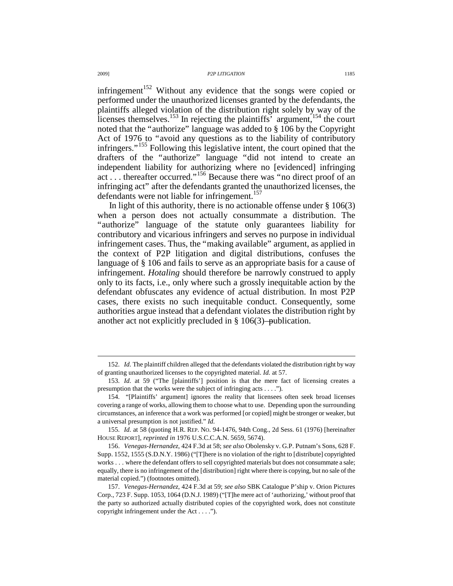infringement<sup>152</sup> Without any evidence that the songs were copied or performed under the unauthorized licenses granted by the defendants, the plaintiffs alleged violation of the distribution right solely by way of the licenses themselves.<sup>153</sup> In rejecting the plaintiffs' argument,<sup>154</sup> the court noted that the "authorize" language was added to § 106 by the Copyright Act of 1976 to "avoid any questions as to the liability of contributory infringers."<sup>155</sup> Following this legislative intent, the court opined that the drafters of the "authorize" language "did not intend to create an independent liability for authorizing where no [evidenced] infringing act . . . thereafter occurred."<sup>156</sup> Because there was "no direct proof of an infringing act" after the defendants granted the unauthorized licenses, the defendants were not liable for infringement.<sup>157</sup>

In light of this authority, there is no actionable offense under  $\S 106(3)$ when a person does not actually consummate a distribution. The "authorize" language of the statute only guarantees liability for contributory and vicarious infringers and serves no purpose in individual infringement cases. Thus, the "making available" argument, as applied in the context of P2P litigation and digital distributions, confuses the language of § 106 and fails to serve as an appropriate basis for a cause of infringement. *Hotaling* should therefore be narrowly construed to apply only to its facts, i.e., only where such a grossly inequitable action by the defendant obfuscates any evidence of actual distribution. In most P2P cases, there exists no such inequitable conduct. Consequently, some authorities argue instead that a defendant violates the distribution right by another act not explicitly precluded in § 106(3)—publication.

 <sup>152.</sup> *Id.* The plaintiff children alleged that the defendants violated the distribution right by way of granting unauthorized licenses to the copyrighted material. *Id.* at 57.

 <sup>153.</sup> *Id.* at 59 ("The [plaintiffs'] position is that the mere fact of licensing creates a presumption that the works were the subject of infringing acts . . . .").

 <sup>154. &</sup>quot;[Plaintiffs' argument] ignores the reality that licensees often seek broad licenses covering a range of works, allowing them to choose what to use. Depending upon the surrounding circumstances, an inference that a work was performed [or copied] might be stronger or weaker, but a universal presumption is not justified." *Id.*

 <sup>155.</sup> *Id.* at 58 (quoting H.R. REP. NO. 94-1476, 94th Cong., 2d Sess. 61 (1976) [hereinafter HOUSE REPORT], *reprinted in* 1976 U.S.C.C.A.N. 5659, 5674).

 <sup>156.</sup> *Venegas-Hernandez*, 424 F.3d at 58; *see also* Obolensky v. G.P. Putnam's Sons, 628 F. Supp. 1552, 1555 (S.D.N.Y. 1986) ("[T]here is no violation of the right to [distribute] copyrighted works . . . where the defendant offers to sell copyrighted materials but does not consummate a sale; equally, there is no infringement of the [distribution] right where there is copying, but no sale of the material copied.") (footnotes omitted).

 <sup>157.</sup> *Venegas-Hernandez*, 424 F.3d at 59; *see also* SBK Catalogue P'ship v. Orion Pictures Corp., 723 F. Supp. 1053, 1064 (D.N.J. 1989) ("[T]he mere act of 'authorizing,' without proof that the party so authorized actually distributed copies of the copyrighted work, does not constitute copyright infringement under the Act . . . .").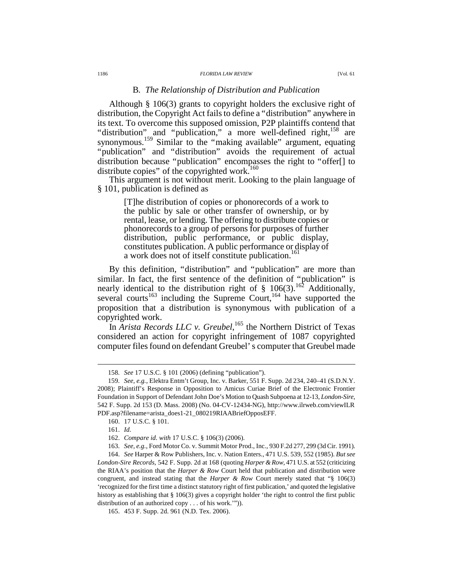#### 1186 *FLORIDA LAW REVIEW* [Vol. 61

### B*. The Relationship of Distribution and Publication*

Although § 106(3) grants to copyright holders the exclusive right of distribution, the Copyright Act fails to define a "distribution" anywhere in its text. To overcome this supposed omission, P2P plaintiffs contend that "distribution" and "publication," a more well-defined right,<sup>158</sup> are synonymous.<sup>159</sup> Similar to the "making available" argument, equating "publication" and "distribution" avoids the requirement of actual distribution because "publication" encompasses the right to "offer[] to distribute copies" of the copyrighted work.<sup>160</sup>

This argument is not without merit. Looking to the plain language of § 101, publication is defined as

> [T]he distribution of copies or phonorecords of a work to the public by sale or other transfer of ownership, or by rental, lease, or lending. The offering to distribute copies or phonorecords to a group of persons for purposes of further distribution, public performance, or public display, constitutes publication. A public performance or display of a work does not of itself constitute publication.<sup>161</sup>

By this definition, "distribution" and "publication" are more than similar. In fact, the first sentence of the definition of "publication" is nearly identical to the distribution right of  $\S$  106(3).<sup>162</sup> Additionally, several courts<sup>163</sup> including the Supreme Court,  $164$  have supported the proposition that a distribution is synonymous with publication of a copyrighted work.

In *Arista Records LLC v. Greubel*,<sup>165</sup> the Northern District of Texas considered an action for copyright infringement of 1087 copyrighted computer files found on defendant Greubel' s computer that Greubel made

 $\overline{a}$ 

 164. *See* Harper & Row Publishers, Inc. v. Nation Enters., 471 U.S. 539, 552 (1985). *But see London-Sire Records*, 542 F. Supp. 2d at 168 ( quoting *Harper & Row*, 471 U.S. at 552 (criticizing the RIAA's position that the *Harper & Row* Court held that publication and distribution were congruent, and instead stating that the *Harper & Row* Court merely stated that "§ 106(3) 'recognized for the first time a distinct statutory right of first publication,' and quoted the legislative history as establishing that § 106(3) gives a copyright holder 'the right to control the first public distribution of an authorized copy . . . of his work.'")).

 <sup>158.</sup> *See* 17 U.S.C. § 101 (2006) (defining "publication").

 <sup>159.</sup> *See, e.g.*, Elektra Entm't Group, Inc. v. Barker, 551 F. Supp. 2d 234, 240–41 (S.D.N.Y. 2008); Plaintiff's Response in Opposition to Amicus Curiae Brief of the Electronic Frontier Foundation in Support of Defendant John Doe's Motion to Quash Subpoena at 12-13, *London-Sire*, 542 F. Supp. 2d 153 (D. Mass. 2008) (No. 04-CV-12434-NG), http://www.ilrweb.com/viewILR PDF.asp?filename=arista\_does1-21\_080219RIAABriefOpposEFF.

 <sup>160. 17</sup> U.S.C. § 101.

 <sup>161.</sup> *Id.*

 <sup>162.</sup> *Compare id. with* 17 U.S.C. § 106(3) (2006).

 <sup>163.</sup> *See, e.g.*, Ford Motor Co. v. Summit Motor Prod., Inc., 930 F.2d 277, 299 (3d Cir. 1991).

 <sup>165. 453</sup> F. Supp. 2d. 961 (N.D. Tex. 2006).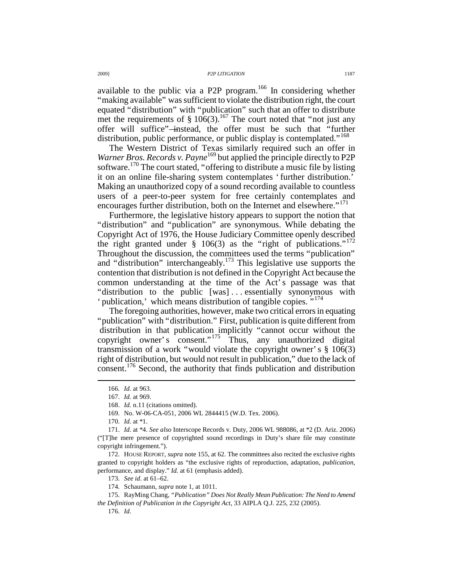available to the public via a P2P program.<sup>166</sup> In considering whether "making available" was sufficient to violate the distribution right, the court equated "distribution" with "publication" such that an offer to distribute met the requirements of  $\S 106(3)$ .<sup>167</sup> The court noted that "not just any offer will suffice"—instead, the offer must be such that "further distribution, public performance, or public display is contemplated."<sup>168</sup>

The Western District of Texas similarly required such an offer in *Warner Bros. Records v. Payne*<sup>169</sup> but applied the principle directly to P2P software.<sup>170</sup> The court stated, "offering to distribute a music file by listing it on an online file-sharing system contemplates ' further distribution.' Making an unauthorized copy of a sound recording available to countless users of a peer-to-peer system for free certainly contemplates and encourages further distribution, both on the Internet and elsewhere."<sup>171</sup>

Furthermore, the legislative history appears to support the notion that "distribution" and "publication" are synonymous. While debating the Copyright Act of 1976, the House Judiciary Committee openly described the right granted under § 106(3) as the "right of publications."<sup>172</sup> Throughout the discussion, the committees used the terms "publication" and "distribution" interchangeably.<sup>173</sup> This legislative use supports the contention that distribution is not defined in the Copyright Act because the common understanding at the time of the Act' s passage was that "distribution to the public [was] . . . essentially synonymous with ' publication,' which means distribution of tangible copies."<sup>174</sup>

The foregoing authorities, however, make two critical errors in equating "publication" with "distribution." First, publication is quite different from distribution in that publication implicitly "cannot occur without the copyright owner's consent." $175$  Thus, any unauthorized digital transmission of a work "would violate the copyright owner' s § 106(3) right of distribution, but would not result in publication," due to the lack of consent.<sup>176</sup> Second, the authority that finds publication and distribution

 $\overline{a}$ 

173. *See id*. at 61–62.

<sup>166</sup>*. Id.* at 963.

 <sup>167.</sup> *Id.* at 969.

 <sup>168.</sup> *Id.* n.11 (citations omitted).

 <sup>169.</sup> No. W-06-CA-051, 2006 WL 2844415 (W.D. Tex. 2006).

 <sup>170.</sup> *Id.* at \*1.

 <sup>171.</sup> *Id.* at \*4. *See also* Interscope Records v. Duty, 2006 WL 988086, at \*2 (D. Ariz. 2006) ("[T]he mere presence of copyrighted sound recordings in Duty's share file may constitute copyright infringement.").

 <sup>172.</sup> HOUSE REPORT, *supra* note 155, at 62. The committees also recited the exclusive rights granted to copyright holders as "the exclusive rights of reproduction, adaptation, *publication*, performance, and display." *Id.* at 61 (emphasis added).

 <sup>174.</sup> Schaumann, *supra* note 1, at 1011.

 <sup>175.</sup> RayMing Chang, *"Publication" Does Not Really Mean Publication: The Need to Amend the Definition of Publication in the Copyright Act*, 33 AIPLA Q.J. 225, 232 (2005).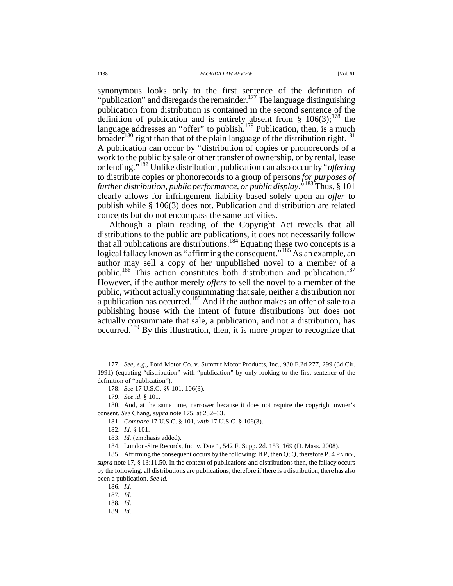#### 1188 *FLORIDA LAW REVIEW* [Vol. 61

synonymous looks only to the first sentence of the definition of "publication" and disregards the remainder.<sup>177</sup> The language distinguishing publication from distribution is contained in the second sentence of the definition of publication and is entirely absent from §  $106(3)$ ;<sup>178</sup> the language addresses an "offer" to publish.<sup>179</sup> Publication, then, is a much broader<sup>180</sup> right than that of the plain language of the distribution right.<sup>181</sup> A publication can occur by "distribution of copies or phonorecords of a work to the public by sale or other transfer of ownership, or by rental, lease or lending."<sup>182</sup> Unlike distribution, publication can also occur by "*offering* to distribute copies or phonorecords to a group of persons *for purposes of further distribution, public performance, or public display*."<sup>183</sup> Thus, § 101 clearly allows for infringement liability based solely upon an *offer* to publish while § 106(3) does not. Publication and distribution are related concepts but do not encompass the same activities.

Although a plain reading of the Copyright Act reveals that all distributions to the public are publications, it does not necessarily follow that all publications are distributions.<sup>184</sup> Equating these two concepts is a logical fallacy known as "affirming the consequent."<sup>185</sup> As an example, an author may sell a copy of her unpublished novel to a member of a public.<sup>186</sup> This action constitutes both distribution and publication.<sup>187</sup> However, if the author merely *offers* to sell the novel to a member of the public, without actually consummating that sale, neither a distribution nor a publication has occurred.<sup>188</sup> And if the author makes an offer of sale to a publishing house with the intent of future distributions but does not actually consummate that sale, a publication, and not a distribution, has occurred.<sup>189</sup> By this illustration, then, it is more proper to recognize that

 <sup>177.</sup> *See, e.g.*, Ford Motor Co. v. Summit Motor Products, Inc., 930 F.2d 277, 299 (3d Cir. 1991) (equating "distribution" with "publication" by only looking to the first sentence of the definition of "publication").

 <sup>178.</sup> *See* 17 U.S.C. §§ 101, 106(3).

 <sup>179.</sup> *See id.* § 101.

 <sup>180.</sup> And, at the same time, narrower because it does not require the copyright owner's consent. *See* Chang, *supra* note 175, at 232–33.

 <sup>181.</sup> *Compare* 17 U.S.C. § 101, *with* 17 U.S.C. § 106(3).

 <sup>182.</sup> *Id.* § 101.

 <sup>183.</sup> *Id.* (emphasis added).

 <sup>184.</sup> London-Sire Records, Inc. v. Doe 1, 542 F. Supp. 2d. 153, 169 (D. Mass. 2008).

 <sup>185.</sup> Affirming the consequent occurs by the following: If P, then Q; Q, therefore P. 4 PATRY, *supra* note 17, § 13:11.50. In the context of publications and distributions then, the fallacy occurs by the following: all distributions are publications; therefore if there is a distribution, there has also been a publication. *See id.*

 <sup>186.</sup> *Id.*

 <sup>187.</sup> *Id.*

 <sup>188.</sup> *Id.* 

 <sup>189.</sup> *Id.*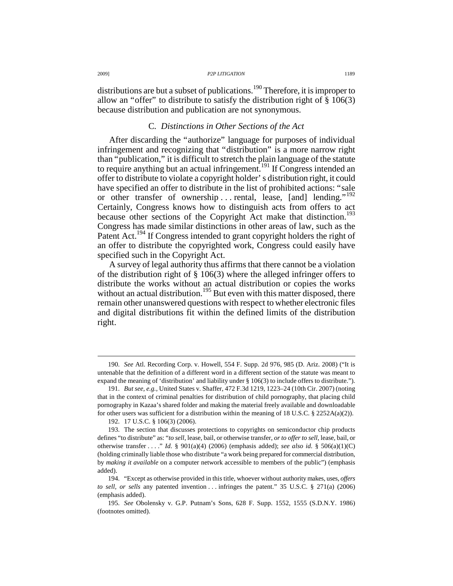distributions are but a subset of publications.<sup>190</sup> Therefore, it is improper to allow an "offer" to distribute to satisfy the distribution right of  $\S$  106(3) because distribution and publication are not synonymous.

# C*. Distinctions in Other Sections of the Act*

After discarding the "authorize" language for purposes of individual infringement and recognizing that "distribution" is a more narrow right than "publication," it is difficult to stretch the plain language of the statute to require anything but an actual infringement.<sup>191</sup> If Congress intended an offer to distribute to violate a copyright holder' s distribution right, it could have specified an offer to distribute in the list of prohibited actions: "sale or other transfer of ownership ... rental, lease, [and] lending."<sup>192</sup> Certainly, Congress knows how to distinguish acts from offers to act because other sections of the Copyright Act make that distinction.<sup>193</sup> Congress has made similar distinctions in other areas of law, such as the Patent Act.<sup>194</sup> If Congress intended to grant copyright holders the right of an offer to distribute the copyrighted work, Congress could easily have specified such in the Copyright Act.

A survey of legal authority thus affirms that there cannot be a violation of the distribution right of § 106(3) where the alleged infringer offers to distribute the works without an actual distribution or copies the works without an actual distribution.<sup>195</sup> But even with this matter disposed, there remain other unanswered questions with respect to whether electronic files and digital distributions fit within the defined limits of the distribution right.

 <sup>190.</sup> *See* Atl. Recording Corp. v. Howell, 554 F. Supp. 2d 976, 985 (D. Ariz. 2008) ("It is untenable that the definition of a different word in a different section of the statute was meant to expand the meaning of 'distribution' and liability under § 106(3) to include offers to distribute.").

 <sup>191.</sup> *But see, e.g.*, United States v. Shaffer, 472 F.3d 1219, 1223–24 (10th Cir. 2007) (noting that in the context of criminal penalties for distribution of child pornography, that placing child pornography in Kazaa's shared folder and making the material freely available and downloadable for other users was sufficient for a distribution within the meaning of 18 U.S.C. § 2252A(a)(2)).

 <sup>192. 17</sup> U.S.C. § 106(3) (2006).

 <sup>193.</sup> The section that discusses protections to copyrights on semiconductor chip products defines "to distribute" as: "*to sell*, lease, bail, or otherwise transfer, *or to offer to sell*, lease, bail, or otherwise transfer . . . ." *Id.* § 901(a)(4) (2006) (emphasis added); *see also id.* § 506(a)(1)(C) (holding criminally liable those who distribute "a work being prepared for commercial distribution, by *making it available* on a computer network accessible to members of the public") (emphasis added).

 <sup>194. &</sup>quot;Except as otherwise provided in this title, whoever without authority makes, uses, *offers to sell, or sells* any patented invention . . . infringes the patent." 35 U.S.C. § 271(a) (2006) (emphasis added).

 <sup>195.</sup> *See* Obolensky v. G.P. Putnam's Sons, 628 F. Supp. 1552, 1555 (S.D.N.Y. 1986) (footnotes omitted).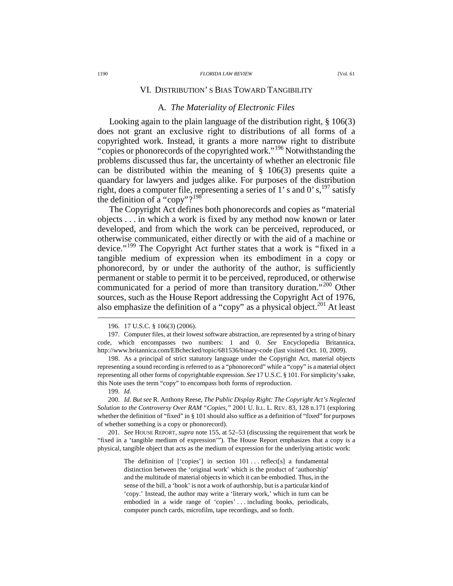## VI. DISTRIBUTION' S BIAS TOWARD TANGIBILITY

# A*. The Materiality of Electronic Files*

Looking again to the plain language of the distribution right, § 106(3) does not grant an exclusive right to distributions of all forms of a copyrighted work. Instead, it grants a more narrow right to distribute "copies or phonorecords of the copyrighted work."<sup>196</sup> Notwithstanding the problems discussed thus far, the uncertainty of whether an electronic file can be distributed within the meaning of § 106(3) presents quite a quandary for lawyers and judges alike. For purposes of the distribution right, does a computer file, representing a series of 1' s and 0' s,  $^{197}$  satisfy the definition of a "copy"? $198$ 

The Copyright Act defines both phonorecords and copies as "material objects . . . in which a work is fixed by any method now known or later developed, and from which the work can be perceived, reproduced, or otherwise communicated, either directly or with the aid of a machine or device."<sup>199</sup> The Copyright Act further states that a work is "fixed in a tangible medium of expression when its embodiment in a copy or phonorecord, by or under the authority of the author, is sufficiently permanent or stable to permit it to be perceived, reproduced, or otherwise communicated for a period of more than transitory duration."<sup>200</sup> Other sources, such as the House Report addressing the Copyright Act of 1976, also emphasize the definition of a "copy" as a physical object.<sup>201</sup> At least

 $\overline{a}$ 

 201. *See* HOUSE REPORT, *supra* note 155, at 52–53 (discussing the requirement that work be "fixed in a 'tangible medium of expression'"). The House Report emphasizes that a copy is a physical, tangible object that acts as the medium of expression for the underlying artistic work:

> The definition of  $\lceil$  'copies'  $\rceil$  in section  $101 \ldots$  reflect  $\lceil s \rceil$  a fundamental distinction between the 'original work' which is the product of 'authorship' and the multitude of material objects in which it can be embodied. Thus, in the sense of the bill, a 'book' is not a work of authorship, but is a particular kind of 'copy.' Instead, the author may write a 'literary work,' which in turn can be embodied in a wide range of 'copies' . . . including books, periodicals, computer punch cards, microfilm, tape recordings, and so forth.

 <sup>196. 17</sup> U.S.C. § 106(3) (2006).

 <sup>197.</sup> Computer files, at their lowest software abstraction, are represented by a string of binary code, which encompasses two numbers: 1 and 0. *See* Encyclopedia Britannica, http://www.britannica.com/EBchecked/topic/681536/binary-code (last visited Oct. 10, 2009).

 <sup>198.</sup> As a principal of strict statutory language under the Copyright Act, material objects representing a sound recording is referred to as a "phonorecord" while a "copy" is a material object representing all other forms of copyrightable expression. *See* 17 U.S.C. § 101. For simplicity's sake, this Note uses the term "copy" to encompass both forms of reproduction.

 <sup>199.</sup> *Id.*

 <sup>200.</sup> *Id. But see* R. Anthony Reese, *The Public Display Right: The Copyright Act's Neglected Solution to the Controversy Over RAM "Copies*,*"* 2001 U. ILL. L. REV. 83, 128 n.171 (exploring whether the definition of "fixed" in § 101 should also suffice as a definition of "fixed" for purposes of whether something is a copy or phonorecord).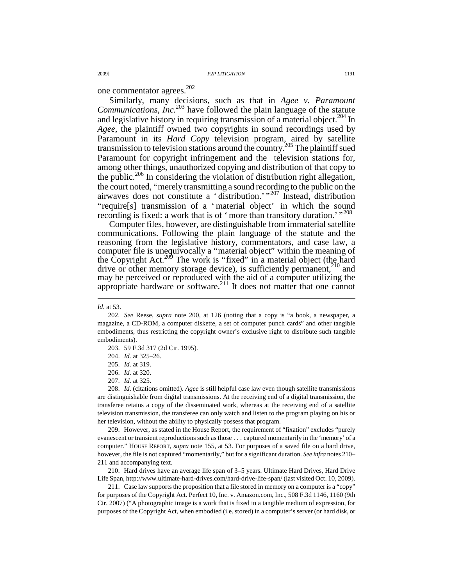one commentator agrees.<sup>202</sup>

Similarly, many decisions, such as that in *Agee v. Paramount Communications*, *Inc.*<sup>203</sup> have followed the plain language of the statute and legislative history in requiring transmission of a material object.<sup>204</sup> In *Agee*, the plaintiff owned two copyrights in sound recordings used by Paramount in its *Hard Copy* television program, aired by satellite transmission to television stations around the country.<sup>205</sup> The plaintiff sued Paramount for copyright infringement and the television stations for, among other things, unauthorized copying and distribution of that copy to the public.<sup>206</sup> In considering the violation of distribution right allegation, the court noted, "merely transmitting a sound recording to the public on the airwaves does not constitute a ' distribution.' "<sup>207</sup> Instead, distribution "require[s] transmission of a ' material object' in which the sound recording is fixed: a work that is of 'more than transitory duration.'"<sup>208</sup>

Computer files, however, are distinguishable from immaterial satellite communications. Following the plain language of the statute and the reasoning from the legislative history, commentators, and case law, a computer file is unequivocally a "material object" within the meaning of the Copyright Act.<sup>209</sup> The work is "fixed" in a material object (the hard drive or other memory storage device), is sufficiently permanent, $2^{10}$  and may be perceived or reproduced with the aid of a computer utilizing the appropriate hardware or software.<sup>211</sup> It does not matter that one cannot

 $\overline{a}$ 

 208. *Id.* (citations omitted). *Agee* is still helpful case law even though satellite transmissions are distinguishable from digital transmissions. At the receiving end of a digital transmission, the transferee retains a copy of the disseminated work, whereas at the receiving end of a satellite television transmission, the transferee can only watch and listen to the program playing on his or her television, without the ability to physically possess that program.

 209. However, as stated in the House Report, the requirement of "fixation" excludes "purely evanescent or transient reproductions such as those . . . captured momentarily in the 'memory' of a computer." HOUSE REPORT, *supra* note 155, at 53. For purposes of a saved file on a hard drive, however, the file is not captured "momentarily," but for a significant duration. *See infra* notes 210– 211 and accompanying text.

 210. Hard drives have an average life span of 3–5 years. Ultimate Hard Drives, Hard Drive Life Span, http://www.ultimate-hard-drives.com/hard-drive-life-span/ (last visited Oct. 10, 2009).

 211. Case law supports the proposition that a file stored in memory on a computer is a "copy" for purposes of the Copyright Act. Perfect 10, Inc. v. Amazon.com, Inc., 508 F.3d 1146, 1160 (9th Cir. 2007) ("A photographic image is a work that is fixed in a tangible medium of expression, for purposes of the Copyright Act, when embodied (i.e. stored) in a computer's server (or hard disk, or

*Id.* at 53.

 <sup>202.</sup> *See* Reese, *supra* note 200, at 126 (noting that a copy is "a book, a newspaper, a magazine, a CD-ROM, a computer diskette, a set of computer punch cards" and other tangible embodiments, thus restricting the copyright owner's exclusive right to distribute such tangible embodiments).

 <sup>203. 59</sup> F.3d 317 (2d Cir. 1995).

 <sup>204.</sup> *Id.* at 325–26.

 <sup>205.</sup> *Id.* at 319.

 <sup>206.</sup> *Id.* at 320.

 <sup>207.</sup> *Id.* at 325.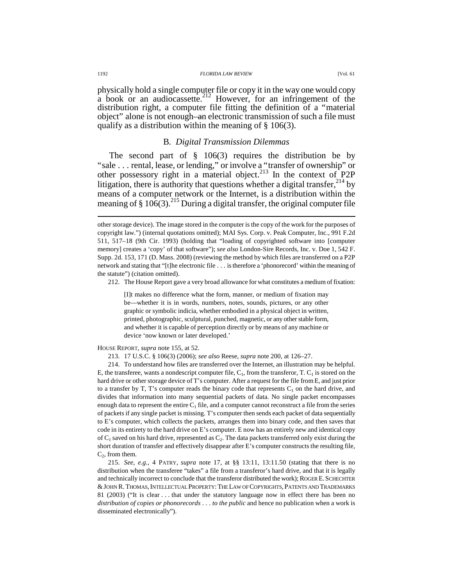#### 1192 *FLORIDA LAW REVIEW* [Vol. 61

physically hold a single computer file or copy it in the way one would copy  $a$  book or an audiocassette.<sup>212</sup> However, for an infringement of the distribution right, a computer file fitting the definition of a "material object" alone is not enough—an electronic transmission of such a file must qualify as a distribution within the meaning of § 106(3).

## B*. Digital Transmission Dilemmas*

The second part of  $\S$  106(3) requires the distribution be by "sale . . . rental, lease, or lending," or involve a "transfer of ownership" or other possessory right in a material object.<sup>213</sup> In the context of P2P litigation, there is authority that questions whether a digital transfer,  $2^{14}$  by means of a computer network or the Internet, is a distribution within the meaning of §  $106(3)$ .<sup>215</sup> During a digital transfer, the original computer file

212. The House Report gave a very broad allowance for what constitutes a medium of fixation:

[I]t makes no difference what the form, manner, or medium of fixation may be—whether it is in words, numbers, notes, sounds, pictures, or any other graphic or symbolic indicia, whether embodied in a physical object in written, printed, photographic, sculptural, punched, magnetic, or any other stable form, and whether it is capable of perception directly or by means of any machine or device 'now known or later developed.'

HOUSE REPORT, *supra* note 155, at 52.

213. 17 U.S.C. § 106(3) (2006); *see also* Reese, *supra* note 200, at 126–27.

 214. To understand how files are transferred over the Internet, an illustration may be helpful. E, the transferee, wants a nondescript computer file,  $C_1$ , from the transferor, T.  $C_1$  is stored on the hard drive or other storage device of T's computer. After a request for the file from E, and just prior to a transfer by T, T's computer reads the binary code that represents  $C_1$  on the hard drive, and divides that information into many sequential packets of data. No single packet encompasses enough data to represent the entire  $C_1$  file, and a computer cannot reconstruct a file from the series of packets if any single packet is missing. T's computer then sends each packet of data sequentially to E's computer, which collects the packets, arranges them into binary code, and then saves that code in its entirety to the hard drive on E's computer. E now has an entirely new and identical copy of  $C_1$  saved on his hard drive, represented as  $C_2$ . The data packets transferred only exist during the short duration of transfer and effectively disappear after E's computer constructs the resulting file,  $C_2$ , from them.

 215. *See, e.g.*, 4 PATRY, *supra* note 17, at §§ 13:11, 13:11.50 (stating that there is no distribution when the transferee "takes" a file from a transferor's hard drive, and that it is legally and technically incorrect to conclude that the transferor distributed the work); ROGER E.SCHECHTER & JOHN R. THOMAS, INTELLECTUAL PROPERTY: THE LAW OF COPYRIGHTS, PATENTS AND TRADEMARKS 81 (2003) ("It is clear . . . that under the statutory language now in effect there has been no *distribution of copies or phonorecords* . . . *to the public* and hence no publication when a work is disseminated electronically").

other storage device). The image stored in the computer is the copy of the work for the purposes of copyright law.") (internal quotations omitted); MAI Sys. Corp. v. Peak Computer, Inc., 991 F.2d 511, 517–18 (9th Cir. 1993) (holding that "loading of copyrighted software into [computer memory] creates a 'copy' of that software"); *see also* London-Sire Records, Inc. v. Doe 1, 542 F. Supp. 2d. 153, 171 (D. Mass. 2008) (reviewing the method by which files are transferred on a P2P network and stating that "[t]he electronic file . . . is therefore a 'phonorecord' within the meaning of the statute") (citation omitted).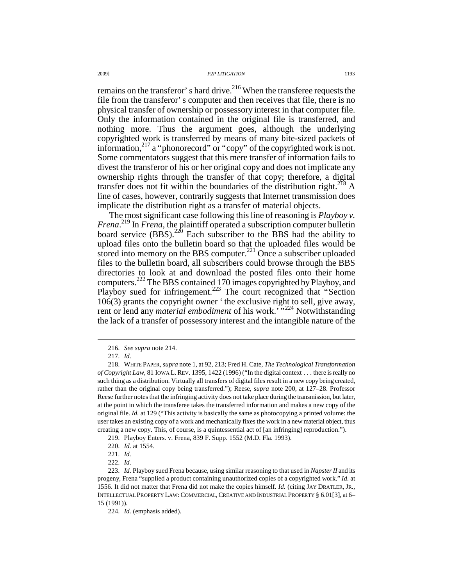remains on the transferor' s hard drive.<sup>216</sup> When the transferee requests the file from the transferor' s computer and then receives that file, there is no physical transfer of ownership or possessory interest in that computer file. Only the information contained in the original file is transferred, and nothing more. Thus the argument goes, although the underlying copyrighted work is transferred by means of many bite-sized packets of information,<sup>217</sup> a "phonorecord" or "copy" of the copyrighted work is not. Some commentators suggest that this mere transfer of information fails to divest the transferor of his or her original copy and does not implicate any ownership rights through the transfer of that copy; therefore, a digital transfer does not fit within the boundaries of the distribution right.<sup>218</sup> A line of cases, however, contrarily suggests that Internet transmission does implicate the distribution right as a transfer of material objects.

The most significant case following this line of reasoning is *Playboy v. Frena*. <sup>219</sup> In *Frena*, the plaintiff operated a subscription computer bulletin board service  $(BBS)$ .<sup>220</sup> Each subscriber to the BBS had the ability to upload files onto the bulletin board so that the uploaded files would be stored into memory on the BBS computer.<sup>221</sup> Once a subscriber uploaded files to the bulletin board, all subscribers could browse through the BBS directories to look at and download the posted files onto their home computers.<sup>222</sup> The BBS contained 170 images copyrighted by Playboy, and Playboy sued for infringement.<sup>223</sup> The court recognized that "Section" 106(3) grants the copyright owner ' the exclusive right to sell, give away, rent or lend any *material embodiment* of his work.<sup>5,224</sup> Notwithstanding the lack of a transfer of possessory interest and the intangible nature of the

 <sup>216.</sup> *See supra* note 214.

 <sup>217.</sup> *Id.*

 <sup>218.</sup> WHITE PAPER, *supra* note 1, at 92, 213; Fred H. Cate, *The Technological Transformation of Copyright Law*, 81 IOWA L.REV. 1395, 1422 (1996) ("In the digital context . . . there is really no such thing as a distribution. Virtually all transfers of digital files result in a new copy being created, rather than the original copy being transferred."); Reese, *supra* note 200, at 127–28. Professor Reese further notes that the infringing activity does not take place during the transmission, but later, at the point in which the transferee takes the transferred information and makes a new copy of the original file. *Id.* at 129 ("This activity is basically the same as photocopying a printed volume: the user takes an existing copy of a work and mechanically fixes the work in a new material object, thus creating a new copy. This, of course, is a quintessential act of [an infringing] reproduction.").

 <sup>219.</sup> Playboy Enters. v. Frena, 839 F. Supp. 1552 (M.D. Fla. 1993).

 <sup>220.</sup> *Id.* at 1554.

 <sup>221.</sup> *Id.*

 <sup>222.</sup> *Id.*

 <sup>223.</sup> *Id.* Playboy sued Frena because, using similar reasoning to that used in *Napster II* and its progeny, Frena "supplied a product containing unauthorized copies of a copyrighted work." *Id.* at 1556. It did not matter that Frena did not make the copies himself. *Id.* (citing JAY DRATLER, JR., INTELLECTUAL PROPERTY LAW:COMMERCIAL,CREATIVE AND INDUSTRIAL PROPERTY § 6.01[3], at 6– 15 (1991)).

 <sup>224.</sup> *Id.* (emphasis added).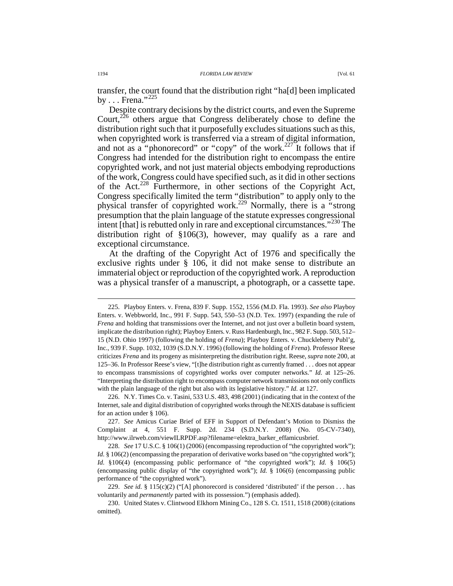transfer, the court found that the distribution right "ha[d] been implicated by  $\ldots$  Frena."<sup>225</sup>

Despite contrary decisions by the district courts, and even the Supreme Court,<sup>226</sup> others argue that Congress deliberately chose to define the distribution right such that it purposefully excludes situations such as this, when copyrighted work is transferred via a stream of digital information, and not as a "phonorecord" or "copy" of the work.<sup>227</sup> It follows that if Congress had intended for the distribution right to encompass the entire copyrighted work, and not just material objects embodying reproductions of the work, Congress could have specified such, as it did in other sections of the Act.<sup>228</sup> Furthermore, in other sections of the Copyright Act, Congress specifically limited the term "distribution" to apply only to the physical transfer of copyrighted work.<sup>229</sup> Normally, there is a "strong presumption that the plain language of the statute expresses congressional intent [that] is rebutted only in rare and exceptional circumstances."<sup>230</sup> The distribution right of §106(3), however, may qualify as a rare and exceptional circumstance.

At the drafting of the Copyright Act of 1976 and specifically the exclusive rights under § 106, it did not make sense to distribute an immaterial object or reproduction of the copyrighted work. A reproduction was a physical transfer of a manuscript, a photograph, or a cassette tape.

 <sup>225.</sup> Playboy Enters. v. Frena, 839 F. Supp. 1552, 1556 (M.D. Fla. 1993). *See also* Playboy Enters. v. Webbworld, Inc., 991 F. Supp. 543, 550–53 (N.D. Tex. 1997) (expanding the rule of *Frena* and holding that transmissions over the Internet, and not just over a bulletin board system, implicate the distribution right); Playboy Enters. v. Russ Hardenburgh, Inc., 982 F. Supp. 503, 512– 15 (N.D. Ohio 1997) (following the holding of *Frena*); Playboy Enters. v. Chuckleberry Publ'g, Inc., 939 F. Supp. 1032, 1039 (S.D.N.Y. 1996) (following the holding of *Frena*). Professor Reese criticizes *Frena* and its progeny as misinterpreting the distribution right. Reese, *supra* note 200, at 125–36. In Professor Reese's view, "[t]he distribution right as currently framed . . . does not appear to encompass transmissions of copyrighted works over computer networks." *Id.* at 125–26. "Interpreting the distribution right to encompass computer network transmissions not only conflicts with the plain language of the right but also with its legislative history." *Id.* at 127.

 <sup>226.</sup> N.Y. Times Co. v. Tasini, 533 U.S. 483, 498 (2001) (indicating that in the context of the Internet, sale and digital distribution of copyrighted works through the NEXIS database is sufficient for an action under § 106).

 <sup>227.</sup> *See* Amicus Curiae Brief of EFF in Support of Defendant's Motion to Dismiss the Complaint at 4, 551 F. Supp. 2d. 234 (S.D.N.Y. 2008) (No. 05-CV-7340), http://www.ilrweb.com/viewILRPDF.asp?filename=elektra\_barker\_effamicusbrief.

 <sup>228.</sup> *See* 17 U.S.C. § 106(1) (2006) (encompassing reproduction of "the copyrighted work"); *Id.* § 106(2) (encompassing the preparation of derivative works based on "the copyrighted work"); *Id.* §106(4) (encompassing public performance of "the copyrighted work"); *Id.* § 106(5) (encompassing public display of "the copyrighted work"); *Id.* § 106(6) (encompassing public performance of "the copyrighted work").

 <sup>229.</sup> *See id.* § 115(c)(2) ("[A] phonorecord is considered 'distributed' if the person . . . has voluntarily and *permanently* parted with its possession.") (emphasis added).

 <sup>230.</sup> United States v. Clintwood Elkhorn Mining Co., 128 S. Ct. 1511, 1518 (2008) (citations omitted).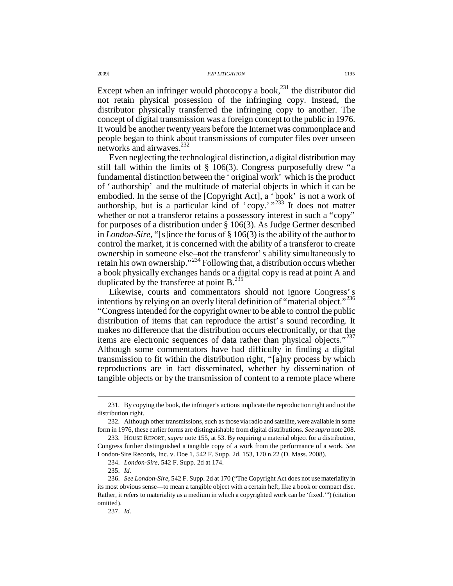Except when an infringer would photocopy a book, $^{231}$  the distributor did not retain physical possession of the infringing copy. Instead, the distributor physically transferred the infringing copy to another. The concept of digital transmission was a foreign concept to the public in 1976. It would be another twenty years before the Internet was commonplace and people began to think about transmissions of computer files over unseen networks and airwaves.<sup>232</sup>

Even neglecting the technological distinction, a digital distribution may still fall within the limits of § 106(3). Congress purposefully drew "a fundamental distinction between the ' original work' which is the product of ' authorship' and the multitude of material objects in which it can be embodied. In the sense of the [Copyright Act], a ' book' is not a work of authorship, but is a particular kind of ' copy.' "<sup>233</sup> It does not matter whether or not a transferor retains a possessory interest in such a "copy" for purposes of a distribution under § 106(3). As Judge Gertner described in *London-Sire*, "[s]ince the focus of § 106(3) is the ability of the author to control the market, it is concerned with the ability of a transferor to create ownership in someone else—not the transferor' s ability simultaneously to retain his own ownership."<sup>234</sup> Following that, a distribution occurs whether a book physically exchanges hands or a digital copy is read at point A and duplicated by the transferee at point  $B<sup>235</sup>$ 

Likewise, courts and commentators should not ignore Congress' s intentions by relying on an overly literal definition of "material object."<sup>236</sup> "Congress intended for the copyright owner to be able to control the public distribution of items that can reproduce the artist' s sound recording. It makes no difference that the distribution occurs electronically, or that the items are electronic sequences of data rather than physical objects."<sup>237</sup> Although some commentators have had difficulty in finding a digital transmission to fit within the distribution right, "[a]ny process by which reproductions are in fact disseminated, whether by dissemination of tangible objects or by the transmission of content to a remote place where

 $\overline{a}$ 

237. *Id.*

 <sup>231.</sup> By copying the book, the infringer's actions implicate the reproduction right and not the distribution right.

 <sup>232.</sup> Although other transmissions, such as those via radio and satellite, were available in some form in 1976, these earlier forms are distinguishable from digital distributions. *See supra* note 208.

 <sup>233.</sup> HOUSE REPORT, *supra* note 155, at 53. By requiring a material object for a distribution, Congress further distinguished a tangible copy of a work from the performance of a work. *See* London-Sire Records, Inc. v. Doe 1, 542 F. Supp. 2d. 153, 170 n.22 (D. Mass. 2008).

 <sup>234.</sup> *London-Sire*, 542 F. Supp. 2d at 174.

 <sup>235.</sup> *Id.*

 <sup>236.</sup> *See London-Sire*, 542 F. Supp. 2d at 170 ("The Copyright Act does not use materiality in its most obvious sense—to mean a tangible object with a certain heft, like a book or compact disc. Rather, it refers to materiality as a medium in which a copyrighted work can be 'fixed.'") (citation omitted).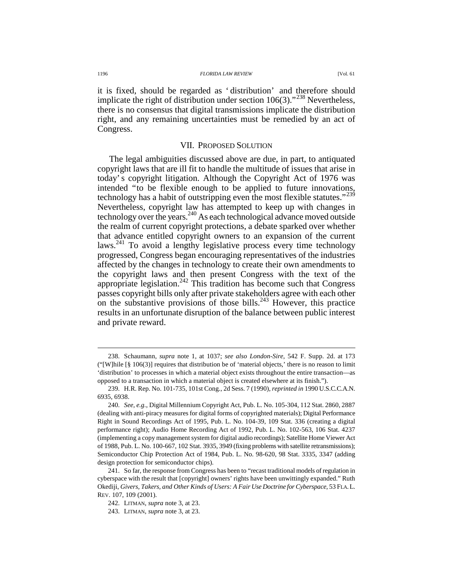it is fixed, should be regarded as ' distribution' and therefore should implicate the right of distribution under section  $106(3)$ ."<sup>238</sup> Nevertheless, there is no consensus that digital transmissions implicate the distribution right, and any remaining uncertainties must be remedied by an act of Congress.

### VII. PROPOSED SOLUTION

The legal ambiguities discussed above are due, in part, to antiquated copyright laws that are ill fit to handle the multitude of issues that arise in today' s copyright litigation. Although the Copyright Act of 1976 was intended "to be flexible enough to be applied to future innovations, technology has a habit of outstripping even the most flexible statutes."<sup>239</sup> Nevertheless, copyright law has attempted to keep up with changes in technology over the years.<sup>240</sup> As each technological advance moved outside the realm of current copyright protections, a debate sparked over whether that advance entitled copyright owners to an expansion of the current laws.<sup>241</sup> To avoid a lengthy legislative process every time technology progressed, Congress began encouraging representatives of the industries affected by the changes in technology to create their own amendments to the copyright laws and then present Congress with the text of the appropriate legislation.<sup>242</sup> This tradition has become such that Congress passes copyright bills only after private stakeholders agree with each other on the substantive provisions of those bills.<sup>243</sup> However, this practice results in an unfortunate disruption of the balance between public interest and private reward.

 <sup>238.</sup> Schaumann, *supra* note 1, at 1037; *see also London-Sire*, 542 F. Supp. 2d. at 173 ("[W]hile  $\lceil \frac{8}{9} \cdot 106(3) \rceil$  requires that distribution be of 'material objects,' there is no reason to limit 'distribution' to processes in which a material object exists throughout the entire transaction—as opposed to a transaction in which a material object is created elsewhere at its finish.").

 <sup>239.</sup> H.R. Rep. No. 101-735, 101st Cong., 2d Sess. 7 (1990), *reprinted in* 1990 U.S.C.C.A.N. 6935, 6938.

 <sup>240.</sup> *See, e.g.*, Digital Millennium Copyright Act, Pub. L. No. 105-304, 112 Stat. 2860, 2887 (dealing with anti-piracy measures for digital forms of copyrighted materials); Digital Performance Right in Sound Recordings Act of 1995, Pub. L. No. 104-39, 109 Stat. 336 (creating a digital performance right); Audio Home Recording Act of 1992, Pub. L. No. 102-563, 106 Stat. 4237 (implementing a copy management system for digital audio recordings); Satellite Home Viewer Act of 1988, Pub. L. No. 100-667, 102 Stat. 3935, 3949 (fixing problems with satellite retransmissions); Semiconductor Chip Protection Act of 1984, Pub. L. No. 98-620, 98 Stat. 3335, 3347 (adding design protection for semiconductor chips).

 <sup>241.</sup> So far, the response from Congress has been to "recast traditional models of regulation in cyberspace with the result that [copyright] owners' rights have been unwittingly expanded." Ruth Okediji, *Givers, Takers, and Other Kinds of Users: A Fair Use Doctrine for Cyberspace*, 53 FLA.L. REV. 107, 109 (2001).

 <sup>242.</sup> LITMAN, *supra* note 3, at 23.

 <sup>243.</sup> LITMAN, *supra* note 3, at 23.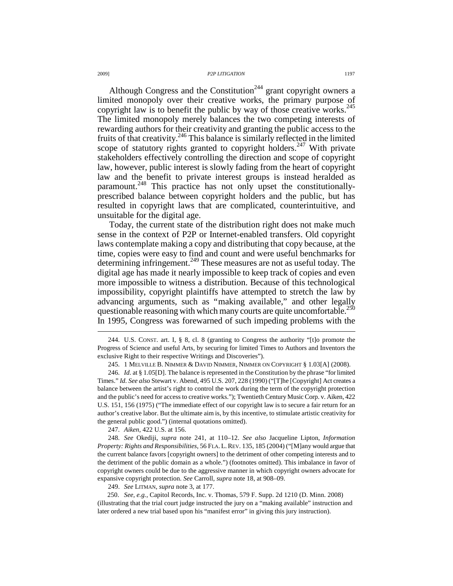Although Congress and the Constitution<sup>244</sup> grant copyright owners a limited monopoly over their creative works, the primary purpose of copyright law is to benefit the public by way of those creative works. $245$ The limited monopoly merely balances the two competing interests of rewarding authors for their creativity and granting the public access to the fruits of that creativity.<sup>246</sup> This balance is similarly reflected in the limited scope of statutory rights granted to copyright holders.<sup>247</sup> With private stakeholders effectively controlling the direction and scope of copyright law, however, public interest is slowly fading from the heart of copyright law and the benefit to private interest groups is instead heralded as paramount.<sup>248</sup> This practice has not only upset the constitutionallyprescribed balance between copyright holders and the public, but has resulted in copyright laws that are complicated, counterintuitive, and unsuitable for the digital age.

Today, the current state of the distribution right does not make much sense in the context of P2P or Internet-enabled transfers. Old copyright laws contemplate making a copy and distributing that copy because, at the time, copies were easy to find and count and were useful benchmarks for determining infringement.<sup>249</sup> These measures are not as useful today. The digital age has made it nearly impossible to keep track of copies and even more impossible to witness a distribution. Because of this technological impossibility, copyright plaintiffs have attempted to stretch the law by advancing arguments, such as "making available," and other legally questionable reasoning with which many courts are quite uncomfortable.<sup>250</sup> In 1995, Congress was forewarned of such impeding problems with the

247. *Aiken*, 422 U.S. at 156.

 248. *See* Okediji, *supra* note 241, at 110–12. *See also* Jacqueline Lipton, *Information Property: Rights and Responsibilities*, 56 FLA. L.REV. 135, 185 (2004) ("[M]any would argue that the current balance favors [copyright owners] to the detriment of other competing interests and to the detriment of the public domain as a whole.") (footnotes omitted). This imbalance in favor of copyright owners could be due to the aggressive manner in which copyright owners advocate for expansive copyright protection. *See* Carroll, *supra* note 18, at 908–09.

249. *See* LITMAN, *supra* note 3, at 177.

250. *See, e.g.*, Capitol Records, Inc. v. Thomas, 579 F. Supp. 2d 1210 (D. Minn. 2008) (illustrating that the trial court judge instructed the jury on a "making available" instruction and later ordered a new trial based upon his "manifest error" in giving this jury instruction).

 <sup>244.</sup> U.S. CONST. art. I, § 8, cl. 8 (granting to Congress the authority "[t]o promote the Progress of Science and useful Arts, by securing for limited Times to Authors and Inventors the exclusive Right to their respective Writings and Discoveries").

 <sup>245. 1</sup> MELVILLE B. NIMMER & DAVID NIMMER, NIMMER ON COPYRIGHT § 1.03[A] (2008).

 <sup>246.</sup> *Id.* at § 1.05[D]. The balance is represented in the Constitution by the phrase "for limited Times." *Id. See also* Stewart v. Abend, 495 U.S. 207, 228 (1990) ("[T]he [Copyright] Act creates a balance between the artist's right to control the work during the term of the copyright protection and the public's need for access to creative works."); Twentieth Century Music Corp. v. Aiken, 422 U.S. 151, 156 (1975) ("The immediate effect of our copyright law is to secure a fair return for an author's creative labor. But the ultimate aim is, by this incentive, to stimulate artistic creativity for the general public good.") (internal quotations omitted).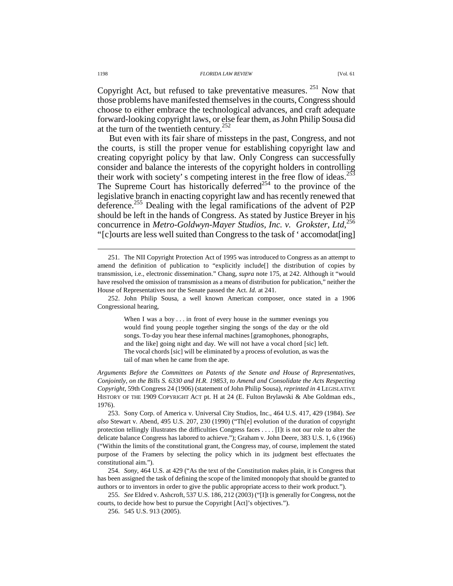Copyright Act, but refused to take preventative measures.<sup>251</sup> Now that those problems have manifested themselves in the courts, Congress should choose to either embrace the technological advances, and craft adequate forward-looking copyright laws, or else fear them, as John Philip Sousa did at the turn of the twentieth century.<sup>252</sup>

But even with its fair share of missteps in the past, Congress, and not the courts, is still the proper venue for establishing copyright law and creating copyright policy by that law. Only Congress can successfully consider and balance the interests of the copyright holders in controlling their work with society' s competing interest in the free flow of ideas.<sup>253</sup> The Supreme Court has historically deferred<sup>254</sup> to the province of the legislative branch in enacting copyright law and has recently renewed that deference.<sup>255</sup> Dealing with the legal ramifications of the advent of P2P should be left in the hands of Congress. As stated by Justice Breyer in his concurrence in *Metro-Goldwyn-Mayer Studios, Inc. v. Grokster*, *Ltd*, 256 "[c]ourts are less well suited than Congress to the task of ' accomodat[ing]

When I was a boy . . . in front of every house in the summer evenings you would find young people together singing the songs of the day or the old songs. To-day you hear these infernal machines [gramophones, phonographs, and the like] going night and day. We will not have a vocal chord [sic] left. The vocal chords [sic] will be eliminated by a process of evolution, as was the tail of man when he came from the ape.

*Arguments Before the Committees on Patents of the Senate and House of Representatives, Conjointly, on the Bills S. 6330 and H.R. 19853, to Amend and Consolidate the Acts Respecting Copyright*, 59th Congress 24 (1906) (statement of John Philip Sousa), *reprinted in* 4 LEGISLATIVE HISTORY OF THE 1909 COPYRIGHT ACT pt. H at 24 (E. Fulton Brylawski & Abe Goldman eds., 1976).

 253. Sony Corp. of America v. Universal City Studios, Inc., 464 U.S. 417, 429 (1984). *See also* Stewart v. Abend, 495 U.S. 207, 230 (1990) ("Th[e] evolution of the duration of copyright protection tellingly illustrates the difficulties Congress faces . . . . [I]t is not our role to alter the delicate balance Congress has labored to achieve."); Graham v. John Deere, 383 U.S. 1, 6 (1966) ("Within the limits of the constitutional grant, the Congress may, of course, implement the stated purpose of the Framers by selecting the policy which in its judgment best effectuates the constitutional aim.").

 254. *Sony*, 464 U.S. at 429 ("As the text of the Constitution makes plain, it is Congress that has been assigned the task of defining the scope of the limited monopoly that should be granted to authors or to inventors in order to give the public appropriate access to their work product.").

 255. *See* Eldred v. Ashcroft, 537 U.S. 186, 212 (2003) ("[I]t is generally for Congress, not the courts, to decide how best to pursue the Copyright [Act]'s objectives.").

256. 545 U.S. 913 (2005).

 <sup>251.</sup> The NII Copyright Protection Act of 1995 was introduced to Congress as an attempt to amend the definition of publication to "explicitly include[] the distribution of copies by transmission, i.e., electronic dissemination." Chang, *supra* note 175, at 242. Although it "would have resolved the omission of transmission as a means of distribution for publication," neither the House of Representatives nor the Senate passed the Act. *Id.* at 241.

 <sup>252.</sup> John Philip Sousa, a well known American composer, once stated in a 1906 Congressional hearing,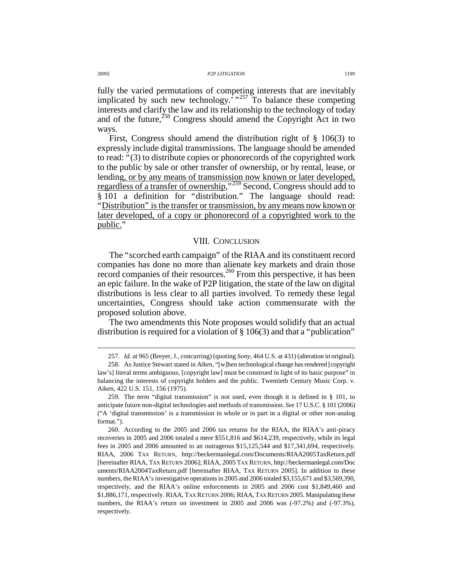fully the varied permutations of competing interests that are inevitably implicated by such new technology.<sup> $\cdot$ </sup>,<sup>257</sup> To balance these competing interests and clarify the law and its relationship to the technology of today and of the future, $258$  Congress should amend the Copyright Act in two ways.

First, Congress should amend the distribution right of § 106(3) to expressly include digital transmissions. The language should be amended to read: "(3) to distribute copies or phonorecords of the copyrighted work to the public by sale or other transfer of ownership, or by rental, lease, or lending, or by any means of transmission now known or later developed, regardless of a transfer of ownership,"<sup>259</sup> Second, Congress should add to § 101 a definition for "distribution." The language should read: "Distribution" is the transfer or transmission, by any means now known or later developed, of a copy or phonorecord of a copyrighted work to the public."

# VIII. CONCLUSION

The "scorched earth campaign" of the RIAA and its constituent record companies has done no more than alienate key markets and drain those record companies of their resources.<sup>260</sup> From this perspective, it has been an epic failure. In the wake of P2P litigation, the state of the law on digital distributions is less clear to all parties involved. To remedy these legal uncertainties, Congress should take action commensurate with the proposed solution above.

The two amendments this Note proposes would solidify that an actual distribution is required for a violation of § 106(3) and that a "publication"

 <sup>257.</sup> *Id.* at 965 (Breyer, J., concurring) (quoting *Sony*, 464 U.S. at 431) (alteration in original).

 <sup>258.</sup> As Justice Stewart stated in *Aiken*, "[w]hen technological change has rendered [copyright law's] literal terms ambiguous, [copyright law] must be construed in light of its basic purpose" in balancing the interests of copyright holders and the public. Twentieth Century Music Corp. v. Aiken, 422 U.S. 151, 156 (1975).

 <sup>259.</sup> The term "digital transmission" is not used, even though it is defined in § 101, to anticipate future non-digital technologies and methods of transmission. *See* 17 U.S.C. § 101 (2006) ("A 'digital transmission' is a transmission in whole or in part in a digital or other non-analog format.").

 <sup>260.</sup> According to the 2005 and 2006 tax returns for the RIAA, the RIAA's anti-piracy recoveries in 2005 and 2006 totaled a mere \$551,816 and \$614,239, respectively, while its legal fees in 2005 and 2006 amounted to an outrageous \$15,125,544 and \$17,341,694, respectively. RIAA, 2006 TAX RETURN, http://beckermanlegal.com/Documents/RIAA2005TaxReturn.pdf [hereinafter RIAA, TAX RETURN 2006]; RIAA, 2005 TAX RETURN, http://beckermanlegal.com/Doc uments/RIAA2004TaxReturn.pdf [hereinafter RIAA, TAX RETURN 2005]. In addition to these numbers, the RIAA's investigative operations in 2005 and 2006 totaled \$3,155,671 and \$3,569,390, respectively, and the RIAA's online enforcements in 2005 and 2006 cost \$1,849,460 and \$1,886,171, respectively. RIAA, TAX RETURN 2006; RIAA, TAX RETURN 2005. Manipulating these numbers, the RIAA's return on investment in 2005 and 2006 was (-97.2%) and (-97.3%), respectively.